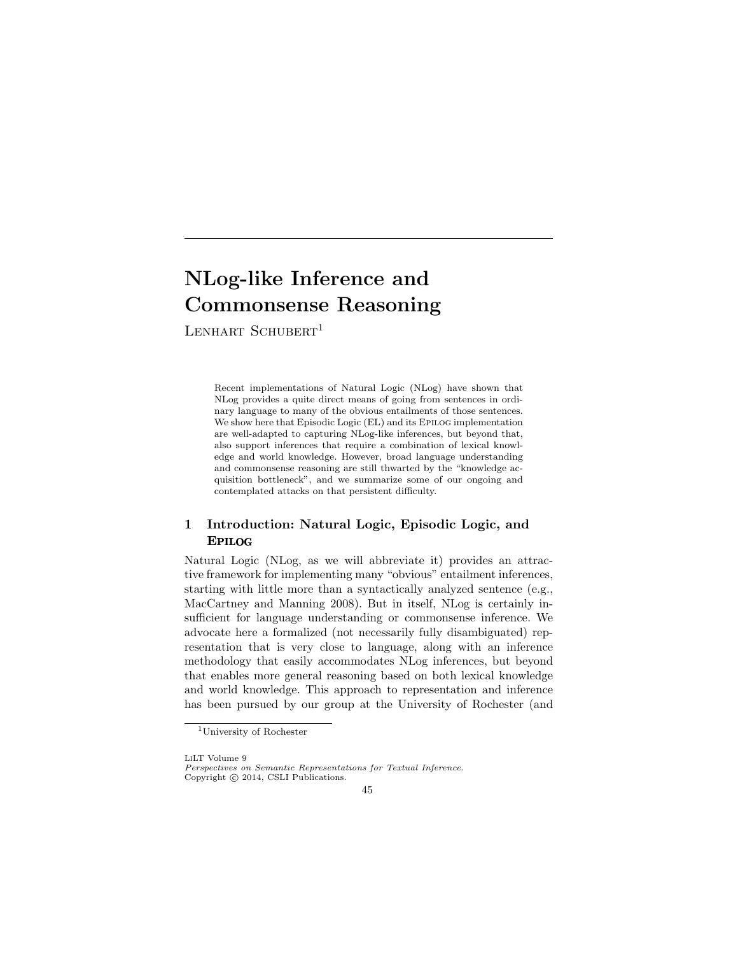# NLog-like Inference and Commonsense Reasoning

LENHART  $S$ CHUBERT<sup>1</sup>

Recent implementations of Natural Logic (NLog) have shown that NLog provides a quite direct means of going from sentences in ordinary language to many of the obvious entailments of those sentences. We show here that Episodic Logic (EL) and its Epilog implementation are well-adapted to capturing NLog-like inferences, but beyond that, also support inferences that require a combination of lexical knowledge and world knowledge. However, broad language understanding and commonsense reasoning are still thwarted by the "knowledge acquisition bottleneck", and we summarize some of our ongoing and contemplated attacks on that persistent difficulty.

# 1 Introduction: Natural Logic, Episodic Logic, and **EPILOG**

Natural Logic (NLog, as we will abbreviate it) provides an attractive framework for implementing many "obvious" entailment inferences, starting with little more than a syntactically analyzed sentence (e.g., MacCartney and Manning 2008). But in itself, NLog is certainly insufficient for language understanding or commonsense inference. We advocate here a formalized (not necessarily fully disambiguated) representation that is very close to language, along with an inference methodology that easily accommodates NLog inferences, but beyond that enables more general reasoning based on both lexical knowledge and world knowledge. This approach to representation and inference has been pursued by our group at the University of Rochester (and

<sup>1</sup>University of Rochester

LiLT Volume 9

*Perspectives on Semantic Representations for Textual Inference*. Copyright  $\odot$  2014, CSLI Publications.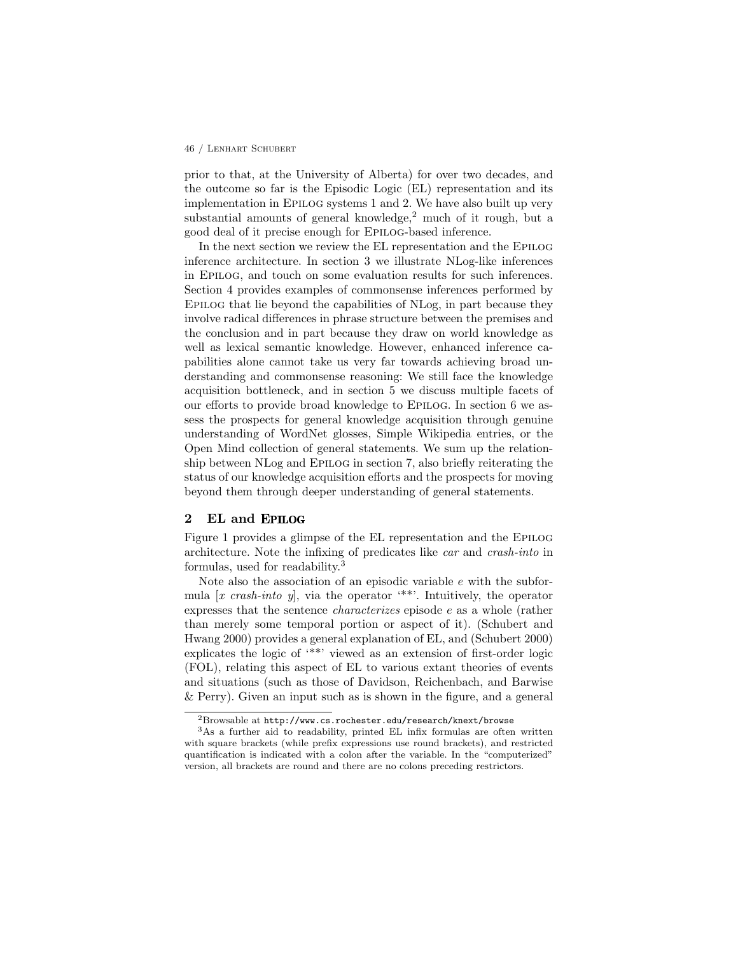prior to that, at the University of Alberta) for over two decades, and the outcome so far is the Episodic Logic (EL) representation and its implementation in Epilog systems 1 and 2. We have also built up very substantial amounts of general knowledge,<sup>2</sup> much of it rough, but a good deal of it precise enough for Epilog-based inference.

In the next section we review the EL representation and the EPILOG inference architecture. In section 3 we illustrate NLog-like inferences in Epilog, and touch on some evaluation results for such inferences. Section 4 provides examples of commonsense inferences performed by Epilog that lie beyond the capabilities of NLog, in part because they involve radical differences in phrase structure between the premises and the conclusion and in part because they draw on world knowledge as well as lexical semantic knowledge. However, enhanced inference capabilities alone cannot take us very far towards achieving broad understanding and commonsense reasoning: We still face the knowledge acquisition bottleneck, and in section 5 we discuss multiple facets of our efforts to provide broad knowledge to EPILOG. In section 6 we assess the prospects for general knowledge acquisition through genuine understanding of WordNet glosses, Simple Wikipedia entries, or the Open Mind collection of general statements. We sum up the relationship between NLog and Epilog in section 7, also briefly reiterating the status of our knowledge acquisition efforts and the prospects for moving beyond them through deeper understanding of general statements.

# 2 EL and EPILOG

Figure 1 provides a glimpse of the EL representation and the EPILOG architecture. Note the infixing of predicates like *car* and *crash-into* in formulas, used for readability.<sup>3</sup>

Note also the association of an episodic variable *e* with the subformula  $[x \text{ crash-into } y]$ , via the operator  $\cdot$ \*\*'. Intuitively, the operator expresses that the sentence *characterizes* episode *e* as a whole (rather than merely some temporal portion or aspect of it). (Schubert and Hwang 2000) provides a general explanation of EL, and (Schubert 2000) explicates the logic of '\*\*' viewed as an extension of first-order logic (FOL), relating this aspect of EL to various extant theories of events and situations (such as those of Davidson, Reichenbach, and Barwise & Perry). Given an input such as is shown in the figure, and a general

<sup>2</sup>Browsable at http://www.cs.rochester.edu/research/knext/browse

<sup>3</sup>As a further aid to readability, printed EL infix formulas are often written with square brackets (while prefix expressions use round brackets), and restricted quantification is indicated with a colon after the variable. In the "computerized" version, all brackets are round and there are no colons preceding restrictors.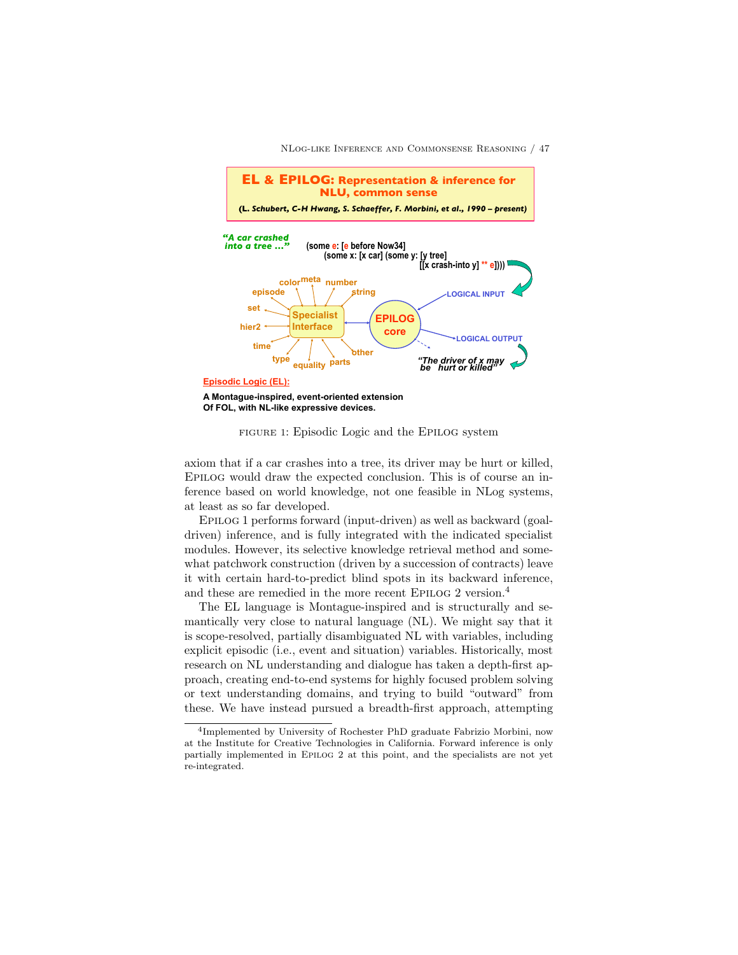NLog-like Inference and Commonsense Reasoning / 47



FIGURE 1: Episodic Logic and the Epilog system

axiom that if a car crashes into a tree, its driver may be hurt or killed, Epilog would draw the expected conclusion. This is of course an inference based on world knowledge, not one feasible in NLog systems, at least as so far developed.

Epilog 1 performs forward (input-driven) as well as backward (goaldriven) inference, and is fully integrated with the indicated specialist modules. However, its selective knowledge retrieval method and somewhat patchwork construction (driven by a succession of contracts) leave it with certain hard-to-predict blind spots in its backward inference, and these are remedied in the more recent EPILOG 2 version.<sup>4</sup>

The EL language is Montague-inspired and is structurally and semantically very close to natural language (NL). We might say that it is scope-resolved, partially disambiguated NL with variables, including explicit episodic (i.e., event and situation) variables. Historically, most research on NL understanding and dialogue has taken a depth-first approach, creating end-to-end systems for highly focused problem solving or text understanding domains, and trying to build "outward" from these. We have instead pursued a breadth-first approach, attempting

<sup>4</sup>Implemented by University of Rochester PhD graduate Fabrizio Morbini, now at the Institute for Creative Technologies in California. Forward inference is only partially implemented in Epilog 2 at this point, and the specialists are not yet re-integrated.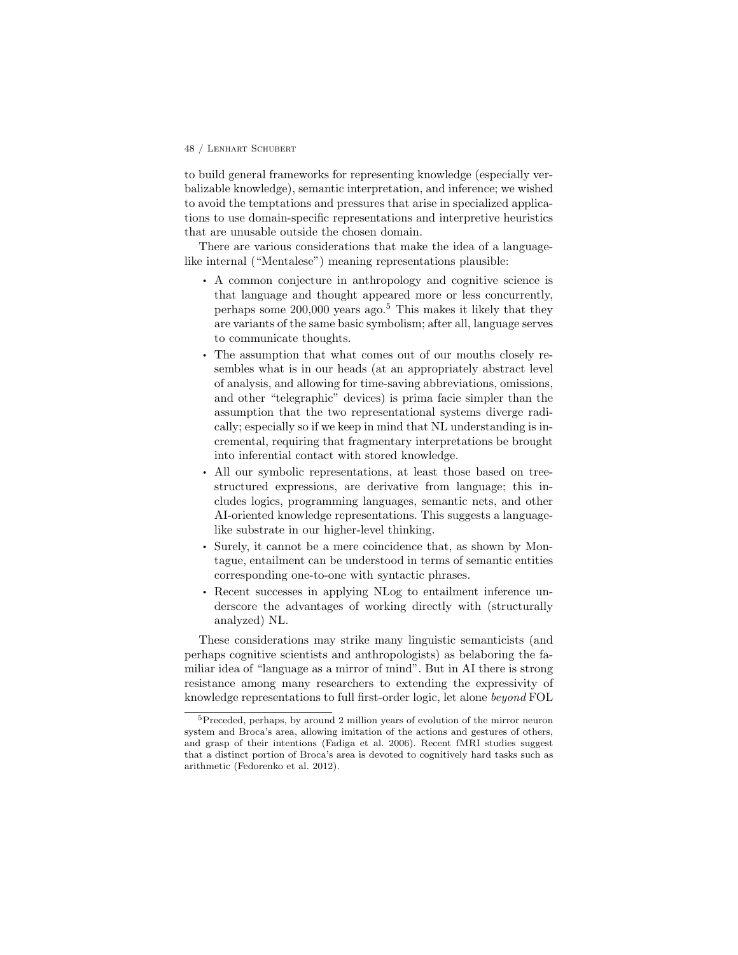to build general frameworks for representing knowledge (especially verbalizable knowledge), semantic interpretation, and inference; we wished to avoid the temptations and pressures that arise in specialized applications to use domain-specific representations and interpretive heuristics that are unusable outside the chosen domain.

There are various considerations that make the idea of a languagelike internal ("Mentalese") meaning representations plausible:

- . A common conjecture in anthropology and cognitive science is that language and thought appeared more or less concurrently, perhaps some  $200,000$  years ago.<sup>5</sup> This makes it likely that they are variants of the same basic symbolism; after all, language serves to communicate thoughts.
- . The assumption that what comes out of our mouths closely resembles what is in our heads (at an appropriately abstract level of analysis, and allowing for time-saving abbreviations, omissions, and other "telegraphic" devices) is prima facie simpler than the assumption that the two representational systems diverge radically; especially so if we keep in mind that NL understanding is incremental, requiring that fragmentary interpretations be brought into inferential contact with stored knowledge.
- . All our symbolic representations, at least those based on treestructured expressions, are derivative from language; this includes logics, programming languages, semantic nets, and other AI-oriented knowledge representations. This suggests a languagelike substrate in our higher-level thinking.
- . Surely, it cannot be a mere coincidence that, as shown by Montague, entailment can be understood in terms of semantic entities corresponding one-to-one with syntactic phrases.
- . Recent successes in applying NLog to entailment inference underscore the advantages of working directly with (structurally analyzed) NL.

These considerations may strike many linguistic semanticists (and perhaps cognitive scientists and anthropologists) as belaboring the familiar idea of "language as a mirror of mind". But in AI there is strong resistance among many researchers to extending the expressivity of knowledge representations to full first-order logic, let alone *beyond* FOL

<sup>5</sup>Preceded, perhaps, by around 2 million years of evolution of the mirror neuron system and Broca's area, allowing imitation of the actions and gestures of others, and grasp of their intentions (Fadiga et al. 2006). Recent fMRI studies suggest that a distinct portion of Broca's area is devoted to cognitively hard tasks such as arithmetic (Fedorenko et al. 2012).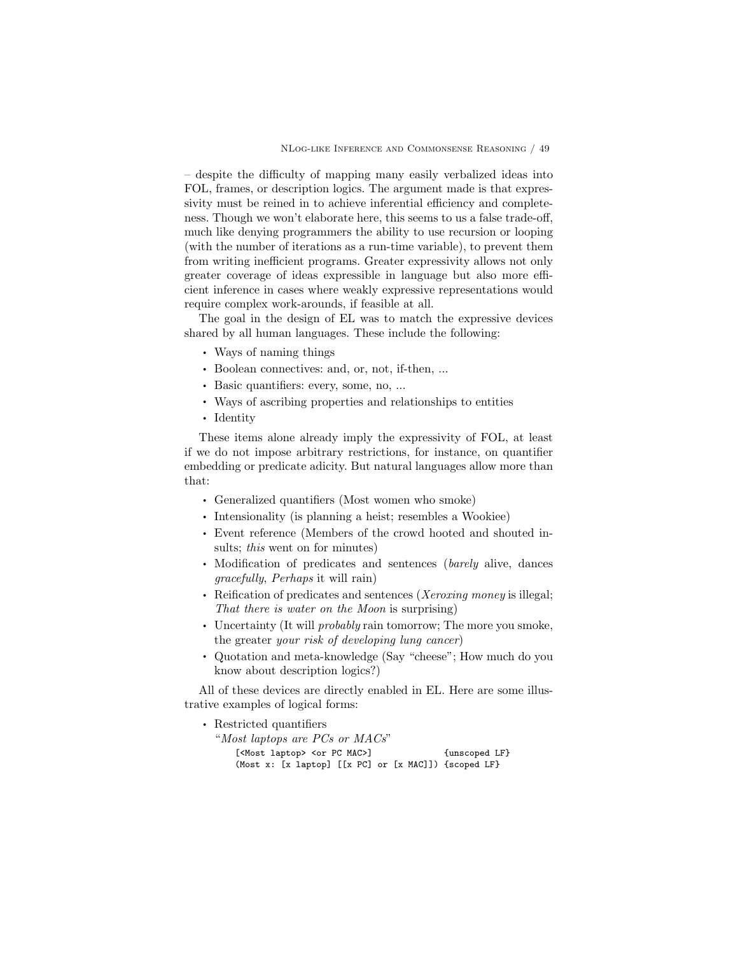– despite the diculty of mapping many easily verbalized ideas into FOL, frames, or description logics. The argument made is that expressivity must be reined in to achieve inferential efficiency and completeness. Though we won't elaborate here, this seems to us a false trade-off, much like denying programmers the ability to use recursion or looping (with the number of iterations as a run-time variable), to prevent them from writing inefficient programs. Greater expressivity allows not only greater coverage of ideas expressible in language but also more efficient inference in cases where weakly expressive representations would require complex work-arounds, if feasible at all.

The goal in the design of EL was to match the expressive devices shared by all human languages. These include the following:

- . Ways of naming things
- . Boolean connectives: and, or, not, if-then, ...
- . Basic quantifiers: every, some, no, ...
- . Ways of ascribing properties and relationships to entities
- . Identity

These items alone already imply the expressivity of FOL, at least if we do not impose arbitrary restrictions, for instance, on quantifier embedding or predicate adicity. But natural languages allow more than that:

- . Generalized quantifiers (Most women who smoke)
- . Intensionality (is planning a heist; resembles a Wookiee)
- . Event reference (Members of the crowd hooted and shouted insults; *this* went on for minutes)
- . Modification of predicates and sentences (*barely* alive, dances *gracefully*, *Perhaps* it will rain)
- . Reification of predicates and sentences (*Xeroxing money* is illegal; *That there is water on the Moon* is surprising)
- . Uncertainty (It will *probably* rain tomorrow; The more you smoke, the greater *your risk of developing lung cancer*)
- . Quotation and meta-knowledge (Say "cheese"; How much do you know about description logics?)

All of these devices are directly enabled in EL. Here are some illustrative examples of logical forms:

- . Restricted quantifiers
	- "*Most laptops are PCs or MACs*" [<Most laptop> <or PC MAC>] {unscoped LF} (Most x: [x laptop] [[x PC] or [x MAC]]) {scoped LF}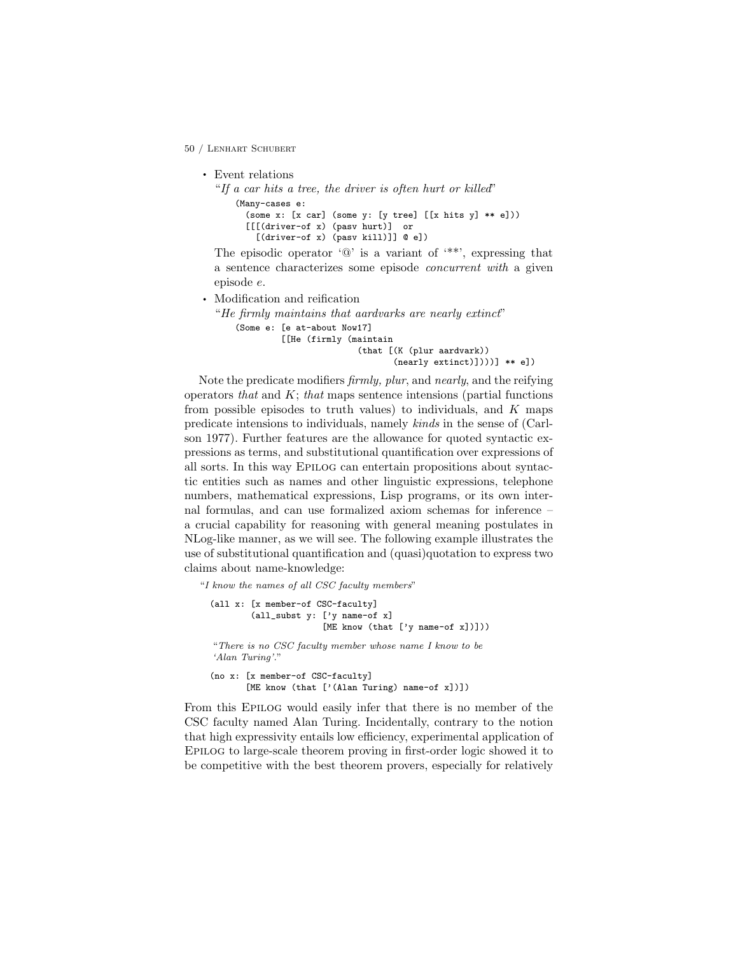- 50 / Lenhart Schubert
	- . Event relations

```
"If a car hits a tree, the driver is often hurt or killed"
   (Many-cases e:
     (some x: [x car] (some y: [y tree] [x hits y] ** e]))[[[(driver-of x) (pasv hurt)] or
       [(driver-of x) (pasv kill)]] @ e])
```
The episodic operator  $\omega$  is a variant of  $\omega$ , expressing that a sentence characterizes some episode *concurrent with* a given episode *e*.

```
. Modification and reification
  "He firmly maintains that aardvarks are nearly extinct"
      (Some e: [e at-about Now17]
               [[He (firmly (maintain
                              (that [(K (plur aardvark))
                                      (nearly extinct)])))] ** e])
```
Note the predicate modifiers *firmly, plur*, and *nearly*, and the reifying operators *that* and *K*; *that* maps sentence intensions (partial functions from possible episodes to truth values) to individuals, and *K* maps predicate intensions to individuals, namely *kinds* in the sense of (Carlson 1977). Further features are the allowance for quoted syntactic expressions as terms, and substitutional quantification over expressions of all sorts. In this way Epilog can entertain propositions about syntactic entities such as names and other linguistic expressions, telephone numbers, mathematical expressions, Lisp programs, or its own internal formulas, and can use formalized axiom schemas for inference – a crucial capability for reasoning with general meaning postulates in NLog-like manner, as we will see. The following example illustrates the use of substitutional quantification and (quasi)quotation to express two claims about name-knowledge:

"*I know the names of all CSC faculty members*"

```
(all x: [x member-of CSC-faculty]
        (all_subst y: ['y name-of x]
                      [ME know (that ['y name-of x])]))
"There is no CSC faculty member whose name I know to be
'Alan Turing'."
(no x: [x member-of CSC-faculty]
       [ME know (that ['(Alan Turing) name-of x])])
```
From this Epilog would easily infer that there is no member of the CSC faculty named Alan Turing. Incidentally, contrary to the notion that high expressivity entails low efficiency, experimental application of Epilog to large-scale theorem proving in first-order logic showed it to be competitive with the best theorem provers, especially for relatively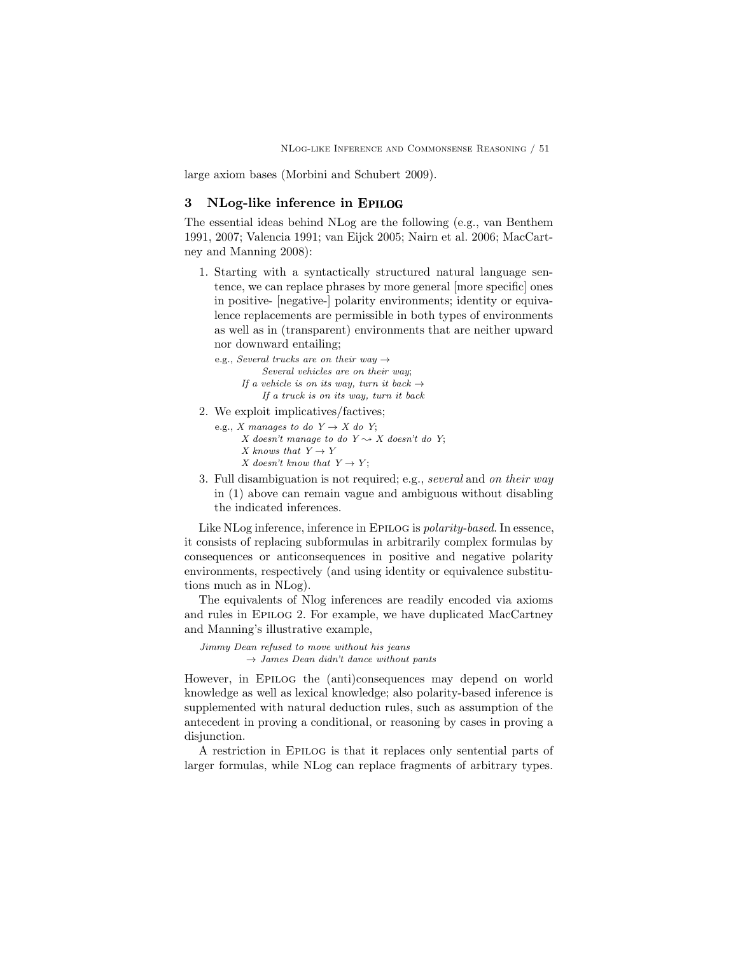large axiom bases (Morbini and Schubert 2009).

# 3 NLog-like inference in

The essential ideas behind NLog are the following (e.g., van Benthem 1991, 2007; Valencia 1991; van Eijck 2005; Nairn et al. 2006; MacCartney and Manning 2008):

- 1. Starting with a syntactically structured natural language sentence, we can replace phrases by more general [more specific] ones in positive- [negative-] polarity environments; identity or equivalence replacements are permissible in both types of environments as well as in (transparent) environments that are neither upward nor downward entailing;
	- e.g., *Several trucks are on their way*  $\rightarrow$ *Several vehicles are on their way*; *If a vehicle is on its way, turn it back*  $\rightarrow$ *If a truck is on its way, turn it back*
- 2. We exploit implicatives/factives;
	- e.g., *X* manages to do  $Y \rightarrow X$  do  $Y$ ; *X* doesn't manage to do  $Y \rightsquigarrow X$  doesn't do Y; *X* knows that  $Y \rightarrow Y$ *X* doesn't know that  $Y \rightarrow Y$ ;
- 3. Full disambiguation is not required; e.g., *several* and *on their way* in (1) above can remain vague and ambiguous without disabling the indicated inferences.

Like NLog inference, inference in Epilog is *polarity-based*. In essence, it consists of replacing subformulas in arbitrarily complex formulas by consequences or anticonsequences in positive and negative polarity environments, respectively (and using identity or equivalence substitutions much as in NLog).

The equivalents of Nlog inferences are readily encoded via axioms and rules in Epilog 2. For example, we have duplicated MacCartney and Manning's illustrative example,

*Jimmy Dean refused to move without his jeans* ! *James Dean didn't dance without pants*

However, in Epilog the (anti)consequences may depend on world knowledge as well as lexical knowledge; also polarity-based inference is supplemented with natural deduction rules, such as assumption of the antecedent in proving a conditional, or reasoning by cases in proving a disjunction.

A restriction in Epilog is that it replaces only sentential parts of larger formulas, while NLog can replace fragments of arbitrary types.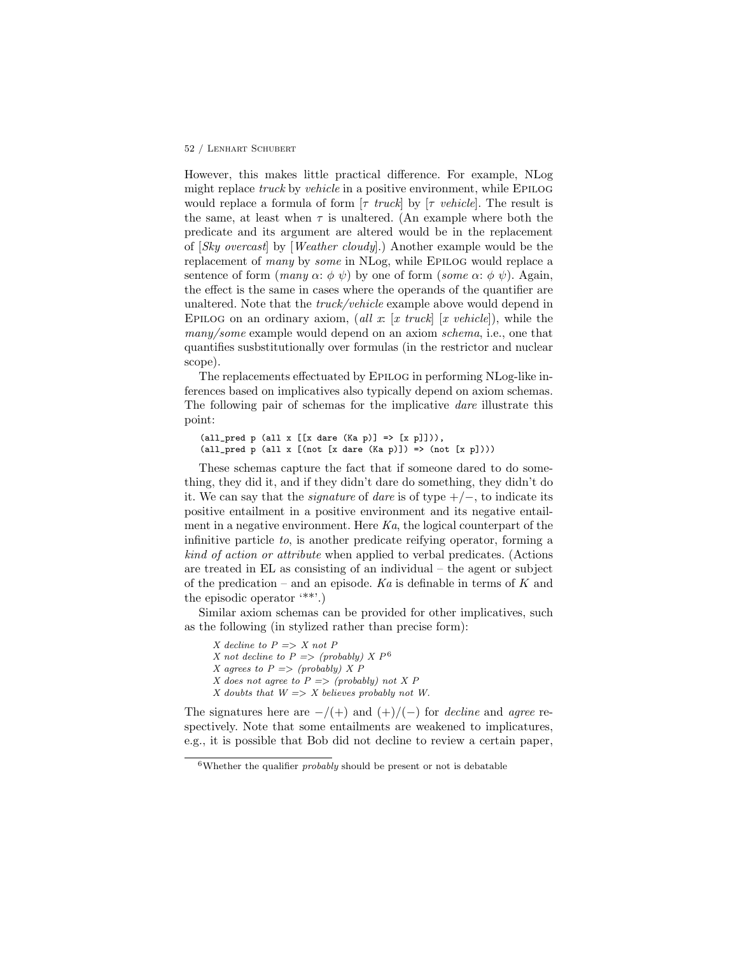However, this makes little practical difference. For example, NLog might replace *truck* by *vehicle* in a positive environment, while EPILOG would replace a formula of form  $\tau$  *truck* by  $\tau$  *vehicle*. The result is the same, at least when  $\tau$  is unaltered. (An example where both the predicate and its argument are altered would be in the replacement of [*Sky overcast*] by [*Weather cloudy*].) Another example would be the replacement of *many* by *some* in NLog, while Epilog would replace a sentence of form  $(many \alpha: \phi \psi)$  by one of form  $(some \alpha: \phi \psi)$ . Again, the effect is the same in cases where the operands of the quantifier are unaltered. Note that the *truck/vehicle* example above would depend in Epilog on an ordinary axiom, (*all x*: [*x truck*] [*x vehicle*]), while the *many/some* example would depend on an axiom *schema*, i.e., one that quantifies susbstitutionally over formulas (in the restrictor and nuclear scope).

The replacements effectuated by EPILOG in performing NLog-like inferences based on implicatives also typically depend on axiom schemas. The following pair of schemas for the implicative *dare* illustrate this point:

```
(all_pred p (all x [[x dare (Ka p)] => [x p]])),
(all_pred p (all x [(not [x dare (Ka p)]) => (not [x p])))
```
These schemas capture the fact that if someone dared to do something, they did it, and if they didn't dare do something, they didn't do it. We can say that the *signature* of *dare* is of type  $+/-$ , to indicate its positive entailment in a positive environment and its negative entailment in a negative environment. Here *Ka*, the logical counterpart of the infinitive particle *to*, is another predicate reifying operator, forming a *kind of action or attribute* when applied to verbal predicates. (Actions are treated in EL as consisting of an individual – the agent or subject of the predication – and an episode. *Ka* is definable in terms of *K* and the episodic operator '\*\*'.)

Similar axiom schemas can be provided for other implicatives, such as the following (in stylized rather than precise form):

*X decline to P => X not P X* not decline to  $P \implies (probably) \ X \ P^6$ *X agrees to P => (probably) X P X does not agree to P => (probably) not X P X doubts that W => X believes probably not W.*

The signatures here are  $-/(+)$  and  $(+)/(-)$  for *decline* and *agree* respectively. Note that some entailments are weakened to implicatures, e.g., it is possible that Bob did not decline to review a certain paper,

<sup>&</sup>lt;sup>6</sup>Whether the qualifier *probably* should be present or not is debatable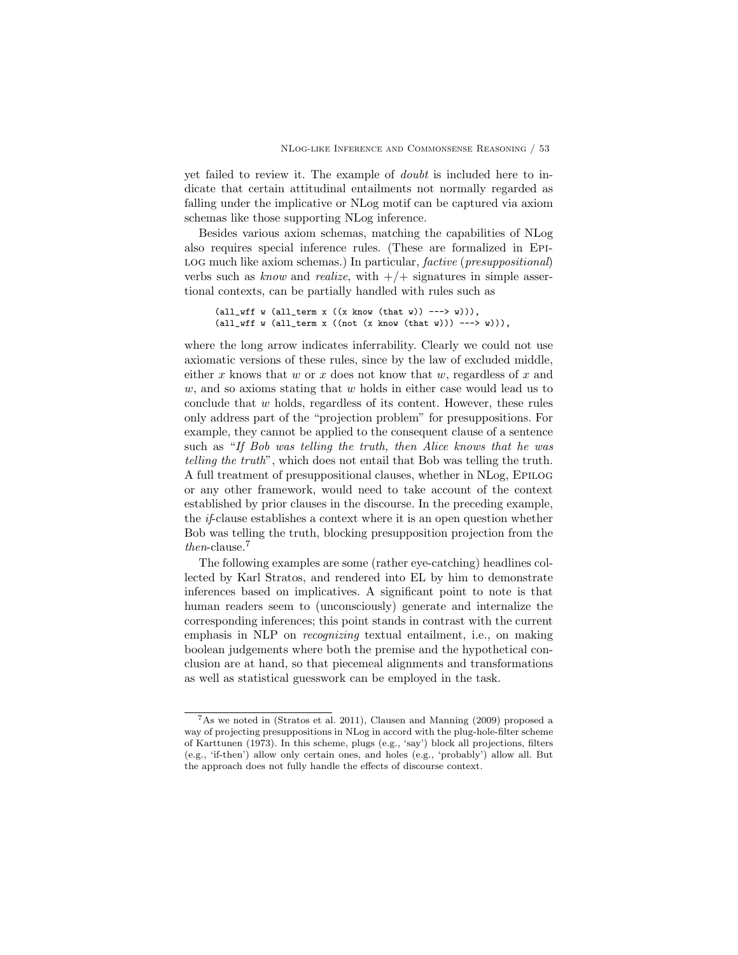yet failed to review it. The example of *doubt* is included here to indicate that certain attitudinal entailments not normally regarded as falling under the implicative or NLog motif can be captured via axiom schemas like those supporting NLog inference.

Besides various axiom schemas, matching the capabilities of NLog also requires special inference rules. (These are formalized in Epilog much like axiom schemas.) In particular, *factive* (*presuppositional*) verbs such as *know* and *realize*, with  $+/-$  signatures in simple assertional contexts, can be partially handled with rules such as

```
(all_wff w (all_term x ((x \text{ know } (\text{that } w)) ---> w))),
(all_wff w (all_term x ((not (x know (that w))) ---> w))),
```
where the long arrow indicates inferrability. Clearly we could not use axiomatic versions of these rules, since by the law of excluded middle, either *x* knows that *w* or *x* does not know that *w*, regardless of *x* and *w*, and so axioms stating that *w* holds in either case would lead us to conclude that *w* holds, regardless of its content. However, these rules only address part of the "projection problem" for presuppositions. For example, they cannot be applied to the consequent clause of a sentence such as "*If Bob was telling the truth, then Alice knows that he was telling the truth*", which does not entail that Bob was telling the truth. A full treatment of presuppositional clauses, whether in NLog, Epilog or any other framework, would need to take account of the context established by prior clauses in the discourse. In the preceding example, the *if*-clause establishes a context where it is an open question whether Bob was telling the truth, blocking presupposition projection from the *then*-clause.<sup>7</sup>

The following examples are some (rather eye-catching) headlines collected by Karl Stratos, and rendered into EL by him to demonstrate inferences based on implicatives. A significant point to note is that human readers seem to (unconsciously) generate and internalize the corresponding inferences; this point stands in contrast with the current emphasis in NLP on *recognizing* textual entailment, i.e., on making boolean judgements where both the premise and the hypothetical conclusion are at hand, so that piecemeal alignments and transformations as well as statistical guesswork can be employed in the task.

<sup>7</sup>As we noted in (Stratos et al. 2011), Clausen and Manning (2009) proposed a way of projecting presuppositions in NLog in accord with the plug-hole-filter scheme of Karttunen (1973). In this scheme, plugs (e.g., 'say') block all projections, filters (e.g., 'if-then') allow only certain ones, and holes (e.g., 'probably') allow all. But the approach does not fully handle the effects of discourse context.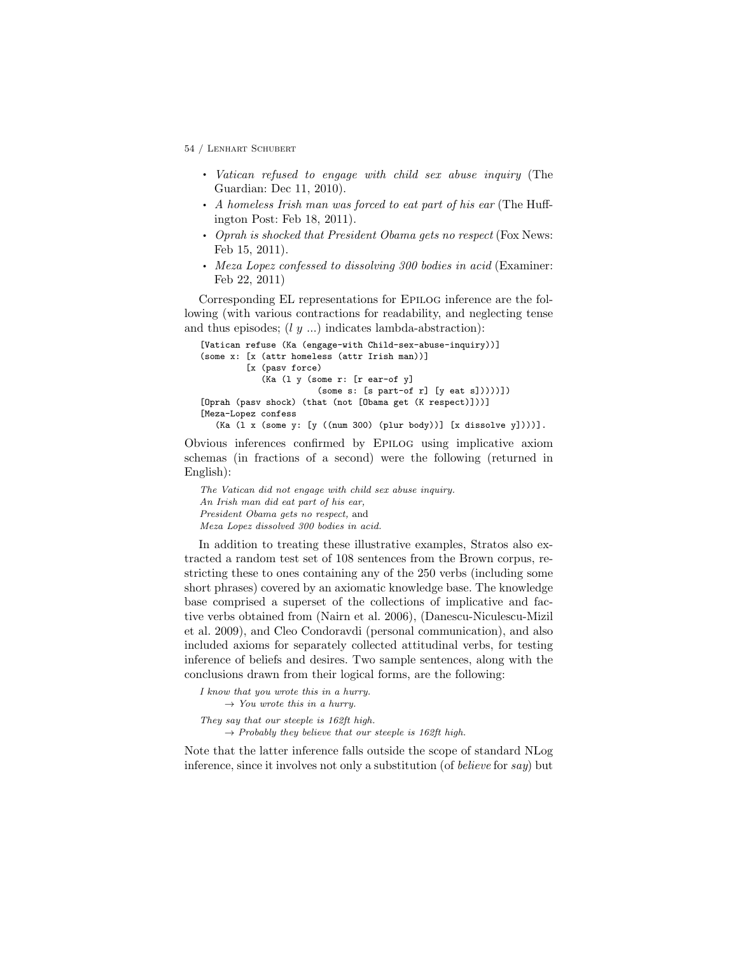- 54 / Lenhart Schubert
	- . *Vatican refused to engage with child sex abuse inquiry* (The Guardian: Dec 11, 2010).
	- *A homeless Irish man was forced to eat part of his ear* (The Huffington Post: Feb 18, 2011).
	- . *Oprah is shocked that President Obama gets no respect* (Fox News: Feb 15, 2011).
	- . *Meza Lopez confessed to dissolving 300 bodies in acid* (Examiner: Feb 22, 2011)

Corresponding EL representations for Epilog inference are the following (with various contractions for readability, and neglecting tense and thus episodes; (*l y* ...) indicates lambda-abstraction):

```
[Vatican refuse (Ka (engage-with Child-sex-abuse-inquiry))]
(some x: [x (attr homeless (attr Irish man))]
         [x (pasv force)
            (Ka (l y (some r: [r ear-of y]
                       (some s: [s part-of r] [y eat s]))))])
[Oprah (pasv shock) (that (not [Obama get (K respect)]))]
[Meza-Lopez confess
   (Ka (1 \times (some y: [y ((num 300) (plur body))] [x dissolve y])))].
```
Obvious inferences confirmed by Epilog using implicative axiom schemas (in fractions of a second) were the following (returned in English):

*The Vatican did not engage with child sex abuse inquiry. An Irish man did eat part of his ear, President Obama gets no respect,* and *Meza Lopez dissolved 300 bodies in acid.*

In addition to treating these illustrative examples, Stratos also extracted a random test set of 108 sentences from the Brown corpus, restricting these to ones containing any of the 250 verbs (including some short phrases) covered by an axiomatic knowledge base. The knowledge base comprised a superset of the collections of implicative and factive verbs obtained from (Nairn et al. 2006), (Danescu-Niculescu-Mizil et al. 2009), and Cleo Condoravdi (personal communication), and also included axioms for separately collected attitudinal verbs, for testing inference of beliefs and desires. Two sample sentences, along with the conclusions drawn from their logical forms, are the following:

*I know that you wrote this in a hurry.* ! *You wrote this in a hurry.*

*They say that our steeple is 162ft high.*

 $\rightarrow$  Probably they believe that our steeple is 162ft high.

Note that the latter inference falls outside the scope of standard NLog inference, since it involves not only a substitution (of *believe* for *say*) but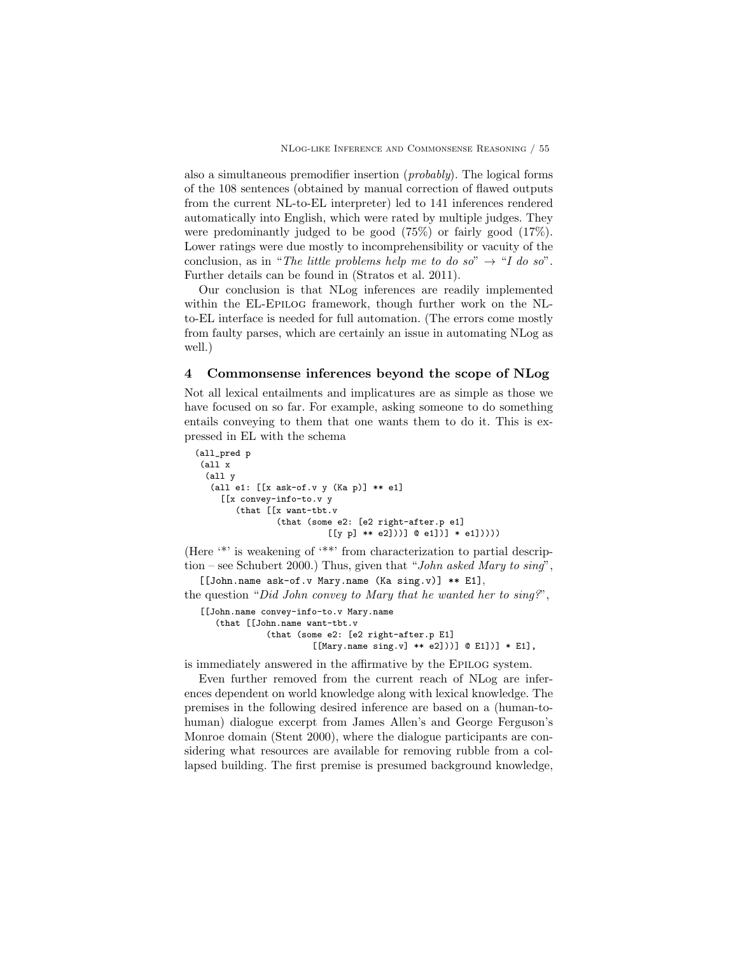also a simultaneous premodifier insertion (*probably*). The logical forms of the 108 sentences (obtained by manual correction of flawed outputs from the current NL-to-EL interpreter) led to 141 inferences rendered automatically into English, which were rated by multiple judges. They were predominantly judged to be good (75%) or fairly good (17%). Lower ratings were due mostly to incomprehensibility or vacuity of the conclusion, as in "*The little problems help me to do so*"  $\rightarrow$  "*I do so*". Further details can be found in (Stratos et al. 2011).

Our conclusion is that NLog inferences are readily implemented within the EL-Epilog framework, though further work on the NLto-EL interface is needed for full automation. (The errors come mostly from faulty parses, which are certainly an issue in automating NLog as well.)

# 4 Commonsense inferences beyond the scope of NLog

Not all lexical entailments and implicatures are as simple as those we have focused on so far. For example, asking someone to do something entails conveying to them that one wants them to do it. This is expressed in EL with the schema

```
(all_pred p
(all x
  (all y
   (all e1: [[x ask-of.v y (Ka p)] ** e1][[x convey-info-to.v y
        (that [[x want-tbt.v
                (that (some e2: [e2 right-after.p e1]
                          [ [y p] ** e2]))] @ e1])] * e1]))))
```
(Here '\*' is weakening of '\*\*' from characterization to partial description – see Schubert 2000.) Thus, given that "*John asked Mary to sing*",

```
[[John.name ask-of.v Mary.name (Ka sing.v)] ** E1],
the question "Did John convey to Mary that he wanted her to sing?",
```

```
[[John.name convey-info-to.v Mary.name
   (that [[John.name want-tbt.v
             (that (some e2: [e2 right-after.p E1]
                      [[Mary.name sing.v] ** e2]))] © E1])] * E1],
```
is immediately answered in the affirmative by the EPILOG system.

Even further removed from the current reach of NLog are inferences dependent on world knowledge along with lexical knowledge. The premises in the following desired inference are based on a (human-tohuman) dialogue excerpt from James Allen's and George Ferguson's Monroe domain (Stent 2000), where the dialogue participants are considering what resources are available for removing rubble from a collapsed building. The first premise is presumed background knowledge,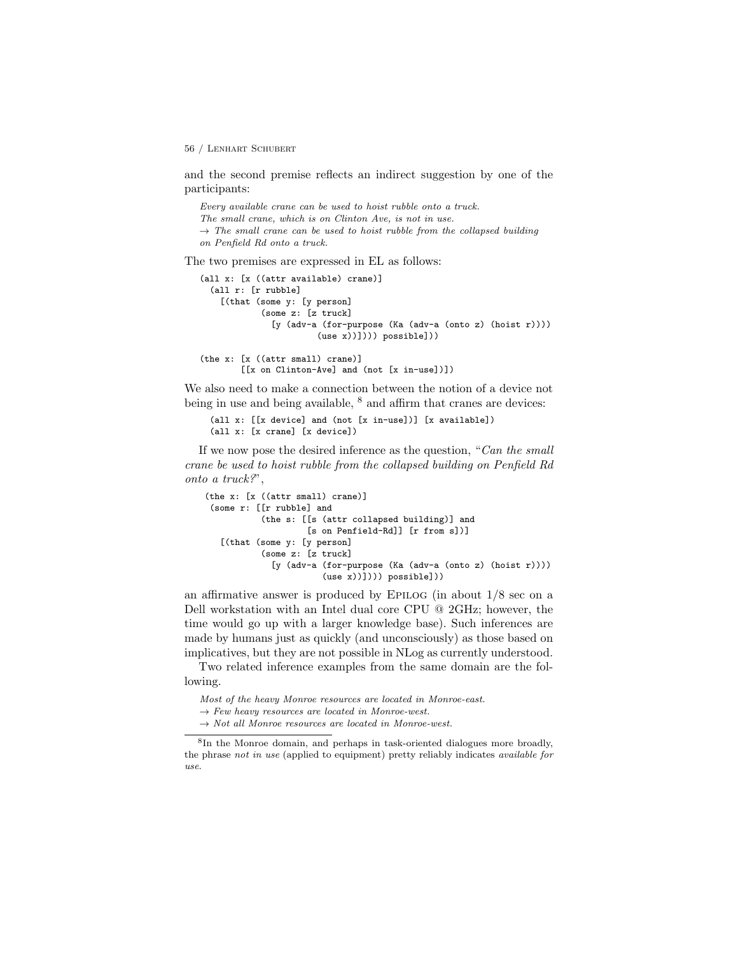and the second premise reflects an indirect suggestion by one of the participants:

*Every available crane can be used to hoist rubble onto a truck. The small crane, which is on Clinton Ave, is not in use.*  $\rightarrow$  The small crane can be used to hoist rubble from the collapsed building *on Penfield Rd onto a truck.*

The two premises are expressed in EL as follows:

```
(all x: [x ((attr available) crane)]
  (all r: [r rubble]
    [(that (some y: [y person]
            (some z: [z truck]
              [y (adv-a (for-purpose (Ka (adv-a (onto z) (hoist r))))
                       (use x))]))) possible]))
(the x: [x ((attr small) crane)]
```
[[x on Clinton-Ave] and (not [x in-use])])

We also need to make a connection between the notion of a device not being in use and being available,  $<sup>8</sup>$  and affirm that cranes are devices:</sup>

```
(all x: [[x device] and (not [x in-use])] [x available])
(all x: [x crane] [x device])
```
If we now pose the desired inference as the question, "*Can the small crane be used to hoist rubble from the collapsed building on Penfield Rd onto a truck?*",

```
(the x: [x ((attr small) crane)]
(some r: [[r rubble] and
           (the s: [[s (attr collapsed building)] and
                    [s on Penfield-Rd]] [r from s])]
   [(that (some y: [y person]
           (some z: [z truck]
             [y (adv-a (for-purpose (Ka (adv-a (onto z) (hoist r))))
                       (use x))]))) possible]))
```
an affirmative answer is produced by EPILOG (in about  $1/8$  sec on a Dell workstation with an Intel dual core CPU @ 2GHz; however, the time would go up with a larger knowledge base). Such inferences are made by humans just as quickly (and unconsciously) as those based on implicatives, but they are not possible in NLog as currently understood.

Two related inference examples from the same domain are the following.

*Most of the heavy Monroe resources are located in Monroe-east.*

 $\rightarrow$  *Few heavy resources are located in Monroe-west.* 

<sup>!</sup> *Not all Monroe resources are located in Monroe-west.*

<sup>8</sup>In the Monroe domain, and perhaps in task-oriented dialogues more broadly, the phrase *not in use* (applied to equipment) pretty reliably indicates *available for use*.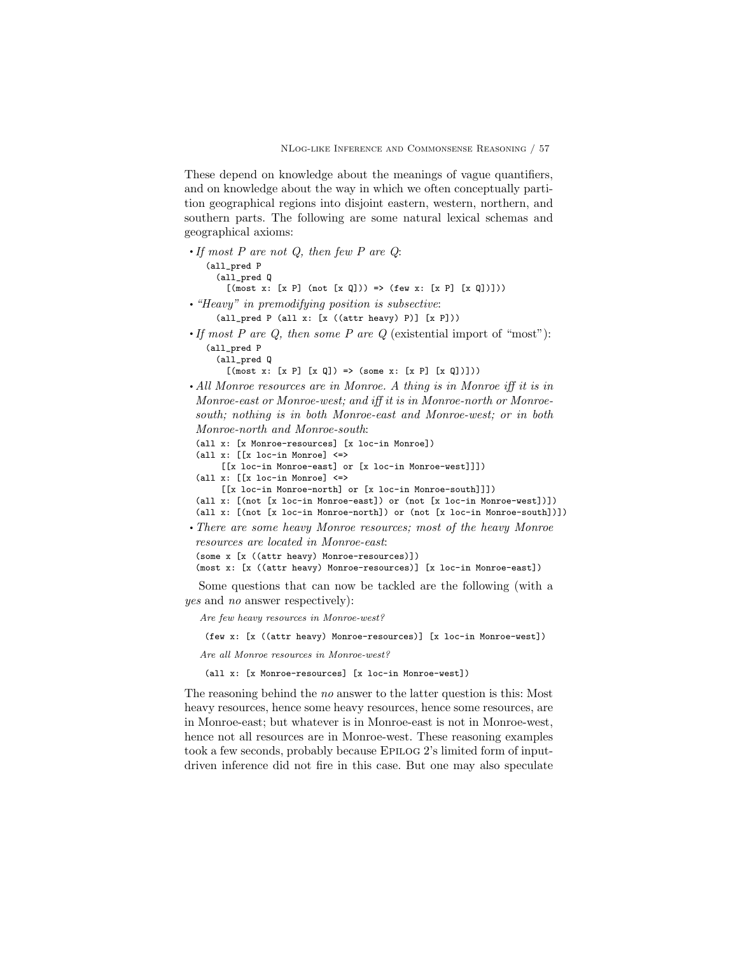These depend on knowledge about the meanings of vague quantifiers, and on knowledge about the way in which we often conceptually partition geographical regions into disjoint eastern, western, northern, and southern parts. The following are some natural lexical schemas and geographical axioms:

.*If most P are not Q, then few P are Q*:

(all\_pred P

(all\_pred Q

- $[(\text{most } x: [x P] (\text{not } [x Q])) \Rightarrow (\text{few } x: [x P] (x Q)])])$
- .*"Heavy" in premodifying position is subsective*:
	- (all\_pred P (all x: [x ((attr heavy) P)] [x P]))
- .*If most P are Q, then some P are Q* (existential import of "most"): (all\_pred P

(all\_pred Q

 $[(\text{most } x: [x P] [x Q]) \Rightarrow (\text{some } x: [x P] [x Q])])$ 

```
• All Monroe resources are in Monroe. A thing is in Monroe iff it is in
 Monroe-east or Monroe-west; and iff it is in Monroe-north or Monroe-
 south; nothing is in both Monroe-east and Monroe-west; or in both
 Monroe-north and Monroe-south:
```

```
(all x: [x Monroe-resources] [x loc-in Monroe])
```
(all x: [[x loc-in Monroe] <=>

```
[[x loc-in Monroe-east] or [x loc-in Monroe-west]]])
```

```
(all x: [[x loc-in Monroe] <=>
```
- [[x loc-in Monroe-north] or [x loc-in Monroe-south]]])
- (all x: [(not [x loc-in Monroe-east]) or (not [x loc-in Monroe-west])])
- (all x: [(not [x loc-in Monroe-north]) or (not [x loc-in Monroe-south])])

.*There are some heavy Monroe resources; most of the heavy Monroe resources are located in Monroe-east*:

(some x [x ((attr heavy) Monroe-resources)])

(most x: [x ((attr heavy) Monroe-resources)] [x loc-in Monroe-east])

Some questions that can now be tackled are the following (with a *yes* and *no* answer respectively):

*Are few heavy resources in Monroe-west?*

(few x: [x ((attr heavy) Monroe-resources)] [x loc-in Monroe-west])

*Are all Monroe resources in Monroe-west?*

(all x: [x Monroe-resources] [x loc-in Monroe-west])

The reasoning behind the *no* answer to the latter question is this: Most heavy resources, hence some heavy resources, hence some resources, are in Monroe-east; but whatever is in Monroe-east is not in Monroe-west, hence not all resources are in Monroe-west. These reasoning examples took a few seconds, probably because Epilog 2's limited form of inputdriven inference did not fire in this case. But one may also speculate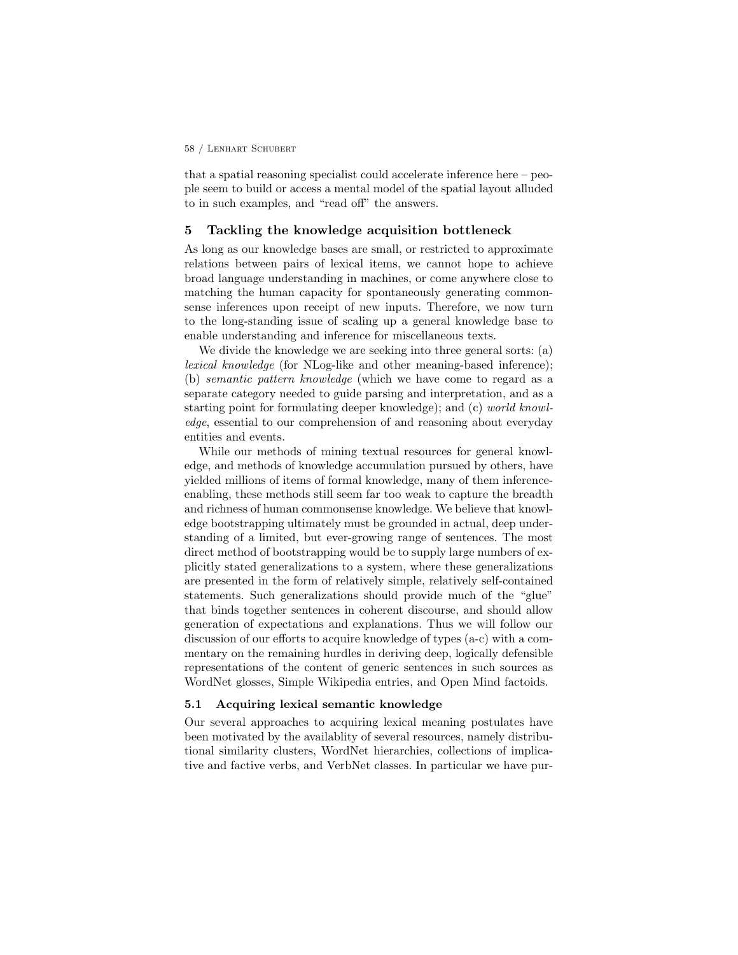that a spatial reasoning specialist could accelerate inference here – people seem to build or access a mental model of the spatial layout alluded to in such examples, and "read off" the answers.

# 5 Tackling the knowledge acquisition bottleneck

As long as our knowledge bases are small, or restricted to approximate relations between pairs of lexical items, we cannot hope to achieve broad language understanding in machines, or come anywhere close to matching the human capacity for spontaneously generating commonsense inferences upon receipt of new inputs. Therefore, we now turn to the long-standing issue of scaling up a general knowledge base to enable understanding and inference for miscellaneous texts.

We divide the knowledge we are seeking into three general sorts: (a) *lexical knowledge* (for NLog-like and other meaning-based inference); (b) *semantic pattern knowledge* (which we have come to regard as a separate category needed to guide parsing and interpretation, and as a starting point for formulating deeper knowledge); and (c) *world knowledge*, essential to our comprehension of and reasoning about everyday entities and events.

While our methods of mining textual resources for general knowledge, and methods of knowledge accumulation pursued by others, have yielded millions of items of formal knowledge, many of them inferenceenabling, these methods still seem far too weak to capture the breadth and richness of human commonsense knowledge. We believe that knowledge bootstrapping ultimately must be grounded in actual, deep understanding of a limited, but ever-growing range of sentences. The most direct method of bootstrapping would be to supply large numbers of explicitly stated generalizations to a system, where these generalizations are presented in the form of relatively simple, relatively self-contained statements. Such generalizations should provide much of the "glue" that binds together sentences in coherent discourse, and should allow generation of expectations and explanations. Thus we will follow our discussion of our efforts to acquire knowledge of types (a-c) with a commentary on the remaining hurdles in deriving deep, logically defensible representations of the content of generic sentences in such sources as WordNet glosses, Simple Wikipedia entries, and Open Mind factoids.

# 5.1 Acquiring lexical semantic knowledge

Our several approaches to acquiring lexical meaning postulates have been motivated by the availablity of several resources, namely distributional similarity clusters, WordNet hierarchies, collections of implicative and factive verbs, and VerbNet classes. In particular we have pur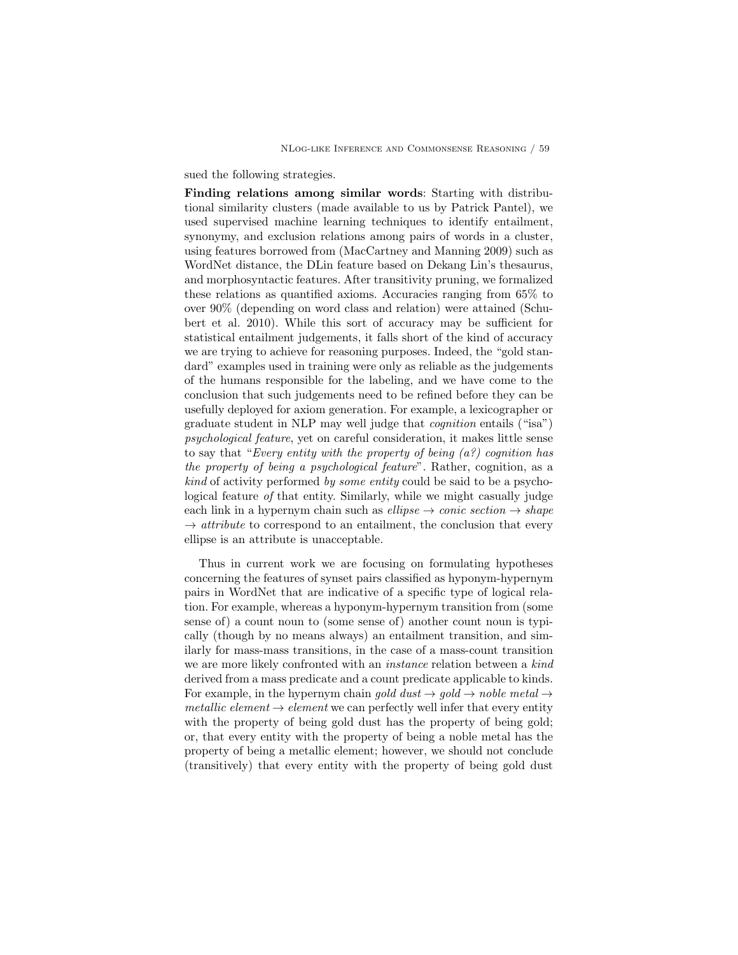sued the following strategies.

Finding relations among similar words: Starting with distributional similarity clusters (made available to us by Patrick Pantel), we used supervised machine learning techniques to identify entailment, synonymy, and exclusion relations among pairs of words in a cluster, using features borrowed from (MacCartney and Manning 2009) such as WordNet distance, the DLin feature based on Dekang Lin's thesaurus, and morphosyntactic features. After transitivity pruning, we formalized these relations as quantified axioms. Accuracies ranging from 65% to over 90% (depending on word class and relation) were attained (Schubert et al. 2010). While this sort of accuracy may be sufficient for statistical entailment judgements, it falls short of the kind of accuracy we are trying to achieve for reasoning purposes. Indeed, the "gold standard" examples used in training were only as reliable as the judgements of the humans responsible for the labeling, and we have come to the conclusion that such judgements need to be refined before they can be usefully deployed for axiom generation. For example, a lexicographer or graduate student in NLP may well judge that *cognition* entails ("isa") *psychological feature*, yet on careful consideration, it makes little sense to say that "*Every entity with the property of being (a?) cognition has the property of being a psychological feature*". Rather, cognition, as a *kind* of activity performed *by some entity* could be said to be a psychological feature *of* that entity. Similarly, while we might casually judge each link in a hypernym chain such as  $ellipse \rightarrow conic section \rightarrow shape$  $\rightarrow$  *attribute* to correspond to an entailment, the conclusion that every ellipse is an attribute is unacceptable.

Thus in current work we are focusing on formulating hypotheses concerning the features of synset pairs classified as hyponym-hypernym pairs in WordNet that are indicative of a specific type of logical relation. For example, whereas a hyponym-hypernym transition from (some sense of) a count noun to (some sense of) another count noun is typically (though by no means always) an entailment transition, and similarly for mass-mass transitions, in the case of a mass-count transition we are more likely confronted with an *instance* relation between a *kind* derived from a mass predicate and a count predicate applicable to kinds. For example, in the hypernym chain *gold*  $dust \rightarrow gold \rightarrow noble metal \rightarrow$ *metallic element*  $\rightarrow$  *element* we can perfectly well infer that every entity with the property of being gold dust has the property of being gold; or, that every entity with the property of being a noble metal has the property of being a metallic element; however, we should not conclude (transitively) that every entity with the property of being gold dust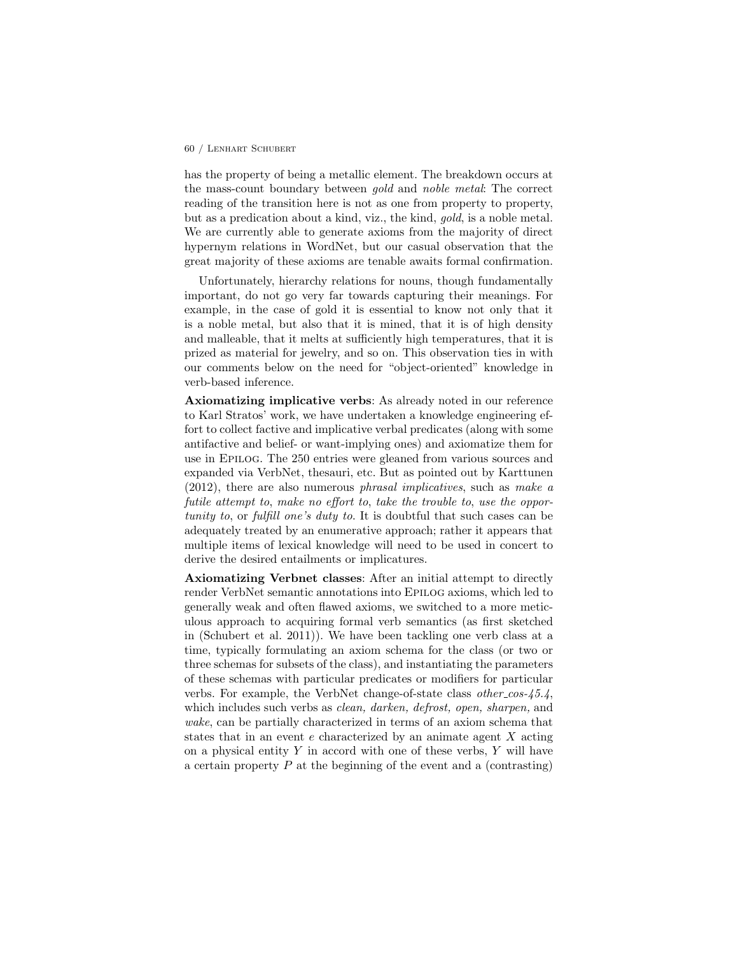has the property of being a metallic element. The breakdown occurs at the mass-count boundary between *gold* and *noble metal*: The correct reading of the transition here is not as one from property to property, but as a predication about a kind, viz., the kind, *gold*, is a noble metal. We are currently able to generate axioms from the majority of direct hypernym relations in WordNet, but our casual observation that the great majority of these axioms are tenable awaits formal confirmation.

Unfortunately, hierarchy relations for nouns, though fundamentally important, do not go very far towards capturing their meanings. For example, in the case of gold it is essential to know not only that it is a noble metal, but also that it is mined, that it is of high density and malleable, that it melts at sufficiently high temperatures, that it is prized as material for jewelry, and so on. This observation ties in with our comments below on the need for "object-oriented" knowledge in verb-based inference.

Axiomatizing implicative verbs: As already noted in our reference to Karl Stratos' work, we have undertaken a knowledge engineering effort to collect factive and implicative verbal predicates (along with some antifactive and belief- or want-implying ones) and axiomatize them for use in Epilog. The 250 entries were gleaned from various sources and expanded via VerbNet, thesauri, etc. But as pointed out by Karttunen (2012), there are also numerous *phrasal implicatives*, such as *make a futile attempt to, make no effort to, take the trouble to, use the opportunity to*, or *fulfill one's duty to*. It is doubtful that such cases can be adequately treated by an enumerative approach; rather it appears that multiple items of lexical knowledge will need to be used in concert to derive the desired entailments or implicatures.

Axiomatizing Verbnet classes: After an initial attempt to directly render VerbNet semantic annotations into Epilog axioms, which led to generally weak and often flawed axioms, we switched to a more meticulous approach to acquiring formal verb semantics (as first sketched in (Schubert et al. 2011)). We have been tackling one verb class at a time, typically formulating an axiom schema for the class (or two or three schemas for subsets of the class), and instantiating the parameters of these schemas with particular predicates or modifiers for particular verbs. For example, the VerbNet change-of-state class *other cos-45.4*, which includes such verbs as *clean, darken, defrost, open, sharpen,* and *wake*, can be partially characterized in terms of an axiom schema that states that in an event *e* characterized by an animate agent *X* acting on a physical entity *Y* in accord with one of these verbs, *Y* will have a certain property *P* at the beginning of the event and a (contrasting)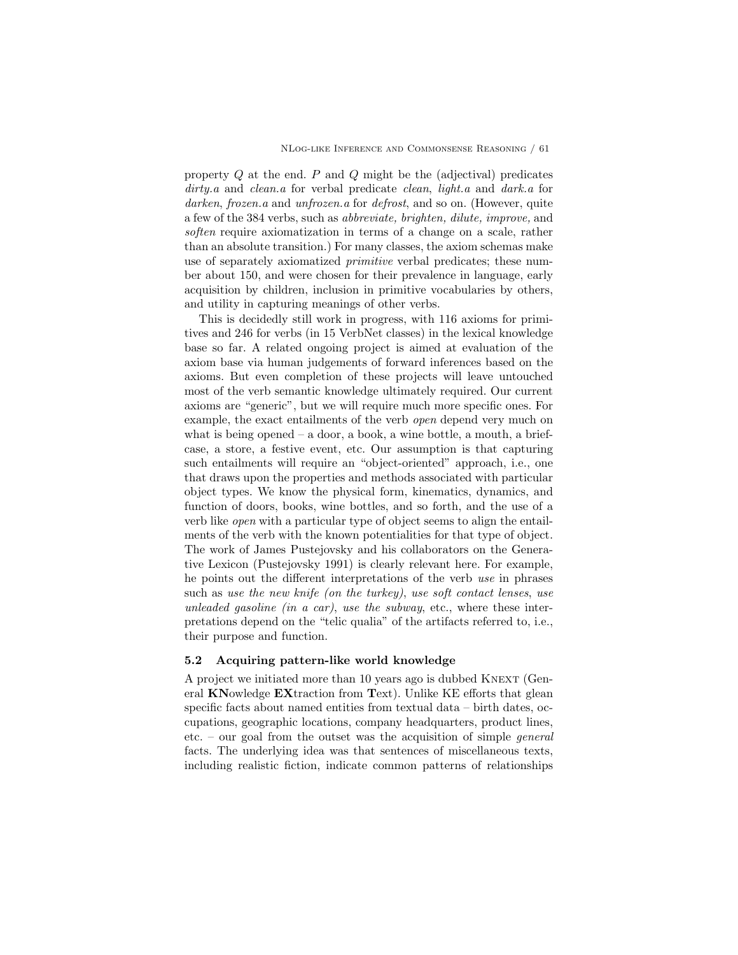property *Q* at the end. *P* and *Q* might be the (adjectival) predicates *dirty.a* and *clean.a* for verbal predicate *clean*, *light.a* and *dark.a* for *darken*, *frozen.a* and *unfrozen.a* for *defrost*, and so on. (However, quite a few of the 384 verbs, such as *abbreviate, brighten, dilute, improve,* and *soften* require axiomatization in terms of a change on a scale, rather than an absolute transition.) For many classes, the axiom schemas make use of separately axiomatized *primitive* verbal predicates; these number about 150, and were chosen for their prevalence in language, early acquisition by children, inclusion in primitive vocabularies by others, and utility in capturing meanings of other verbs.

This is decidedly still work in progress, with 116 axioms for primitives and 246 for verbs (in 15 VerbNet classes) in the lexical knowledge base so far. A related ongoing project is aimed at evaluation of the axiom base via human judgements of forward inferences based on the axioms. But even completion of these projects will leave untouched most of the verb semantic knowledge ultimately required. Our current axioms are "generic", but we will require much more specific ones. For example, the exact entailments of the verb *open* depend very much on what is being opened – a door, a book, a wine bottle, a mouth, a briefcase, a store, a festive event, etc. Our assumption is that capturing such entailments will require an "object-oriented" approach, i.e., one that draws upon the properties and methods associated with particular object types. We know the physical form, kinematics, dynamics, and function of doors, books, wine bottles, and so forth, and the use of a verb like *open* with a particular type of object seems to align the entailments of the verb with the known potentialities for that type of object. The work of James Pustejovsky and his collaborators on the Generative Lexicon (Pustejovsky 1991) is clearly relevant here. For example, he points out the different interpretations of the verb *use* in phrases such as *use the new knife (on the turkey)*, *use soft contact lenses*, *use unleaded gasoline (in a car)*, *use the subway*, etc., where these interpretations depend on the "telic qualia" of the artifacts referred to, i.e., their purpose and function.

## 5.2 Acquiring pattern-like world knowledge

A project we initiated more than 10 years ago is dubbed KNEXT (General  $KN$ owledge  $EXtraction$  from Text). Unlike KE efforts that glean specific facts about named entities from textual data – birth dates, occupations, geographic locations, company headquarters, product lines, etc. – our goal from the outset was the acquisition of simple *general* facts. The underlying idea was that sentences of miscellaneous texts, including realistic fiction, indicate common patterns of relationships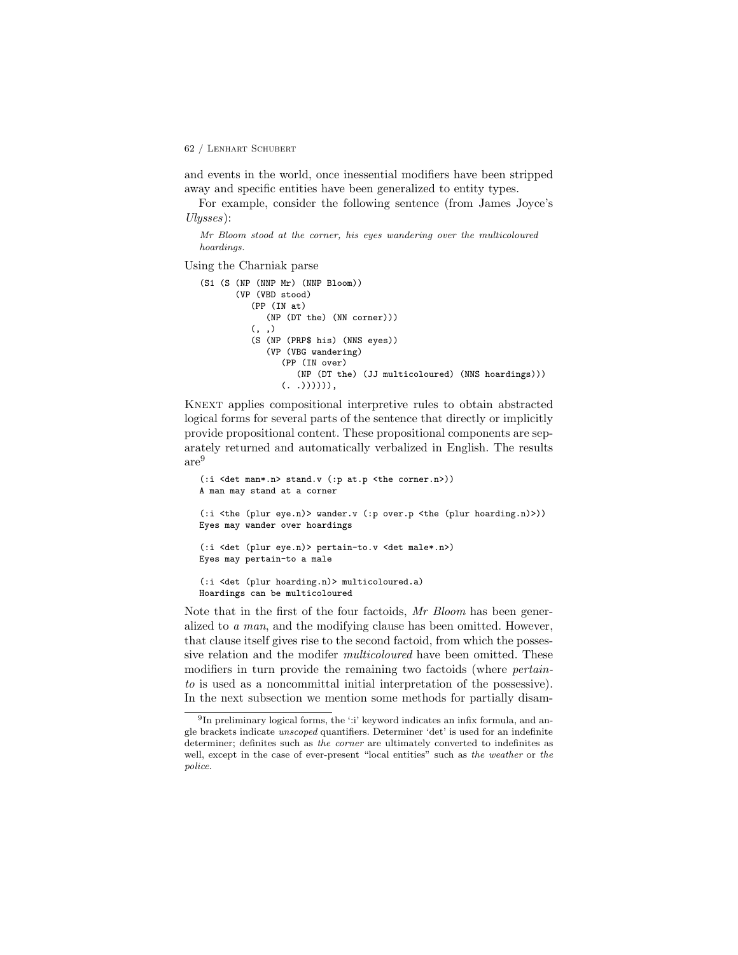and events in the world, once inessential modifiers have been stripped away and specific entities have been generalized to entity types.

For example, consider the following sentence (from James Joyce's *Ulysses*):

*Mr Bloom stood at the corner, his eyes wandering over the multicoloured hoardings.*

Using the Charniak parse

```
(S1 (S (NP (NNP Mr) (NNP Bloom))
       (VP (VBD stood)
          (PP (IN at)
             (NP (DT the) (NN corner)))
          (, )(S (NP (PRP$ his) (NNS eyes))
             (VP (VBG wandering)
                (PP (IN over)
                   (NP (DT the) (JJ multicoloured) (NNS hoardings)))
                (., .)))),
```
Knext applies compositional interpretive rules to obtain abstracted logical forms for several parts of the sentence that directly or implicitly provide propositional content. These propositional components are separately returned and automatically verbalized in English. The results are<sup>9</sup>

```
(:i <det man*.n> stand.v (:p at.p <the corner.n>))
A man may stand at a corner
(:i <the (plur eye.n)> wander.v (:p over.p <the (plur hoarding.n)>))
Eyes may wander over hoardings
(:i <det (plur eye.n)> pertain-to.v <det male*.n>)
Eyes may pertain-to a male
(:i <det (plur hoarding.n)> multicoloured.a)
Hoardings can be multicoloured
```
Note that in the first of the four factoids, *Mr Bloom* has been generalized to *a man*, and the modifying clause has been omitted. However, that clause itself gives rise to the second factoid, from which the possessive relation and the modifer *multicoloured* have been omitted. These modifiers in turn provide the remaining two factoids (where *pertainto* is used as a noncommittal initial interpretation of the possessive). In the next subsection we mention some methods for partially disam-

<sup>&</sup>lt;sup>9</sup>In preliminary logical forms, the ':i' keyword indicates an infix formula, and angle brackets indicate *unscoped* quantifiers. Determiner 'det' is used for an indefinite determiner; definites such as *the corner* are ultimately converted to indefinites as well, except in the case of ever-present "local entities" such as *the weather* or *the police*.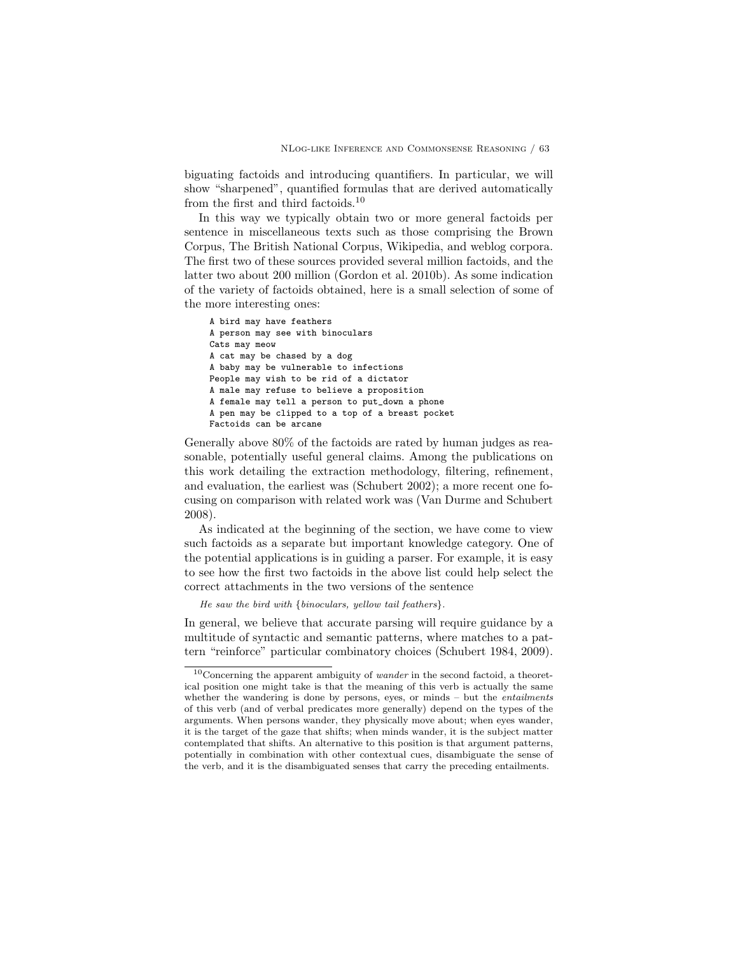biguating factoids and introducing quantifiers. In particular, we will show "sharpened", quantified formulas that are derived automatically from the first and third factoids.<sup>10</sup>

In this way we typically obtain two or more general factoids per sentence in miscellaneous texts such as those comprising the Brown Corpus, The British National Corpus, Wikipedia, and weblog corpora. The first two of these sources provided several million factoids, and the latter two about 200 million (Gordon et al. 2010b). As some indication of the variety of factoids obtained, here is a small selection of some of the more interesting ones:

A bird may have feathers A person may see with binoculars Cats may meow A cat may be chased by a dog A baby may be vulnerable to infections People may wish to be rid of a dictator A male may refuse to believe a proposition A female may tell a person to put\_down a phone A pen may be clipped to a top of a breast pocket Factoids can be arcane

Generally above 80% of the factoids are rated by human judges as reasonable, potentially useful general claims. Among the publications on this work detailing the extraction methodology, filtering, refinement, and evaluation, the earliest was (Schubert 2002); a more recent one focusing on comparison with related work was (Van Durme and Schubert 2008).

As indicated at the beginning of the section, we have come to view such factoids as a separate but important knowledge category. One of the potential applications is in guiding a parser. For example, it is easy to see how the first two factoids in the above list could help select the correct attachments in the two versions of the sentence

*He saw the bird with {binoculars, yellow tail feathers}.*

In general, we believe that accurate parsing will require guidance by a multitude of syntactic and semantic patterns, where matches to a pattern "reinforce" particular combinatory choices (Schubert 1984, 2009).

<sup>10</sup>Concerning the apparent ambiguity of *wander* in the second factoid, a theoretical position one might take is that the meaning of this verb is actually the same whether the wandering is done by persons, eyes, or minds – but the *entailments* of this verb (and of verbal predicates more generally) depend on the types of the arguments. When persons wander, they physically move about; when eyes wander, it is the target of the gaze that shifts; when minds wander, it is the subject matter contemplated that shifts. An alternative to this position is that argument patterns, potentially in combination with other contextual cues, disambiguate the sense of the verb, and it is the disambiguated senses that carry the preceding entailments.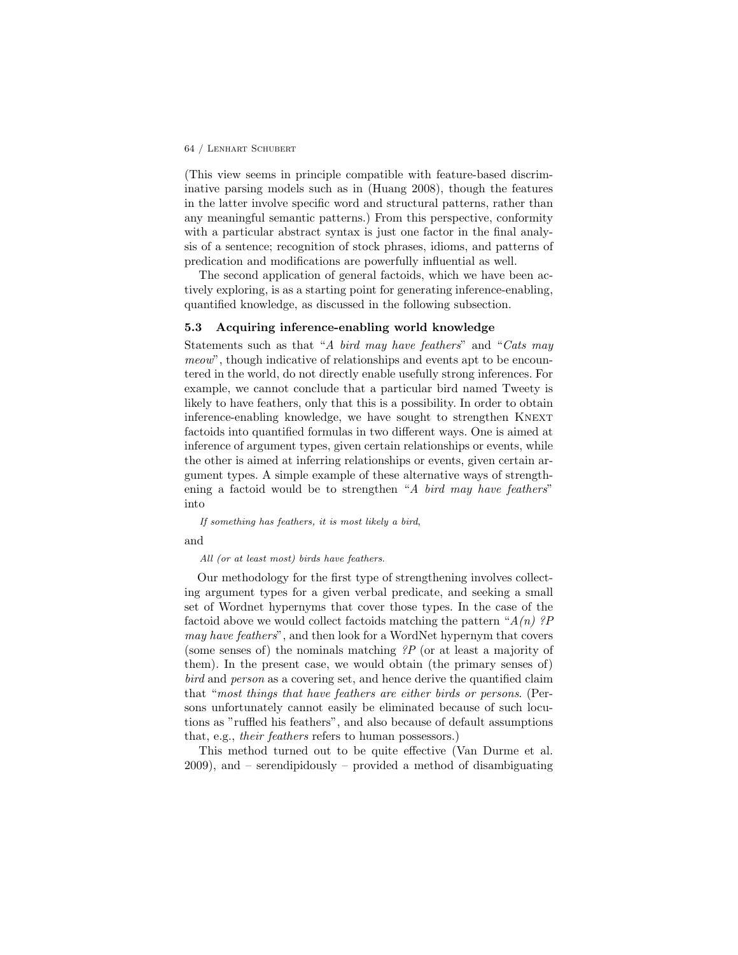(This view seems in principle compatible with feature-based discriminative parsing models such as in (Huang 2008), though the features in the latter involve specific word and structural patterns, rather than any meaningful semantic patterns.) From this perspective, conformity with a particular abstract syntax is just one factor in the final analysis of a sentence; recognition of stock phrases, idioms, and patterns of predication and modifications are powerfully influential as well.

The second application of general factoids, which we have been actively exploring, is as a starting point for generating inference-enabling, quantified knowledge, as discussed in the following subsection.

## 5.3 Acquiring inference-enabling world knowledge

Statements such as that "*A bird may have feathers*" and "*Cats may meow*", though indicative of relationships and events apt to be encountered in the world, do not directly enable usefully strong inferences. For example, we cannot conclude that a particular bird named Tweety is likely to have feathers, only that this is a possibility. In order to obtain inference-enabling knowledge, we have sought to strengthen KNEXT factoids into quantified formulas in two different ways. One is aimed at inference of argument types, given certain relationships or events, while the other is aimed at inferring relationships or events, given certain argument types. A simple example of these alternative ways of strengthening a factoid would be to strengthen "*A bird may have feathers*" into

*If something has feathers, it is most likely a bird*,

and

*All (or at least most) birds have feathers*.

Our methodology for the first type of strengthening involves collecting argument types for a given verbal predicate, and seeking a small set of Wordnet hypernyms that cover those types. In the case of the factoid above we would collect factoids matching the pattern "*A(n) ?P may have feathers*", and then look for a WordNet hypernym that covers (some senses of) the nominals matching *?P* (or at least a majority of them). In the present case, we would obtain (the primary senses of) *bird* and *person* as a covering set, and hence derive the quantified claim that "*most things that have feathers are either birds or persons*. (Persons unfortunately cannot easily be eliminated because of such locutions as "ruffled his feathers", and also because of default assumptions that, e.g., *their feathers* refers to human possessors.)

This method turned out to be quite effective (Van Durme et al. 2009), and – serendipidously – provided a method of disambiguating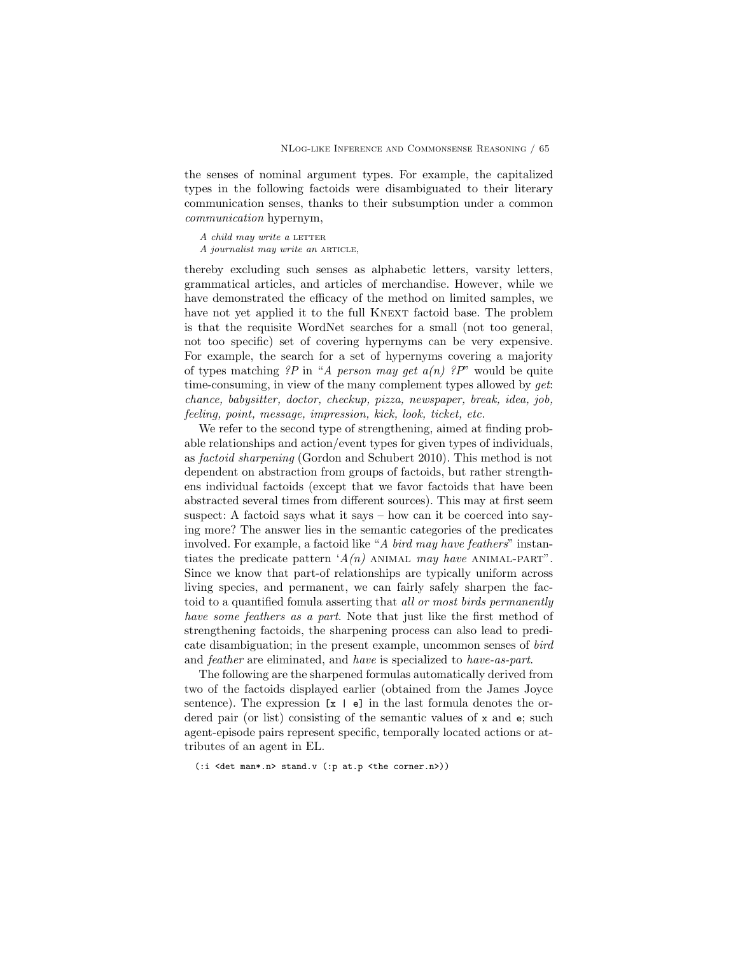the senses of nominal argument types. For example, the capitalized types in the following factoids were disambiguated to their literary communication senses, thanks to their subsumption under a common *communication* hypernym,

*A child may write a LETTER A journalist may write an ARTICLE,* 

thereby excluding such senses as alphabetic letters, varsity letters, grammatical articles, and articles of merchandise. However, while we have demonstrated the efficacy of the method on limited samples, we have not yet applied it to the full KNEXT factoid base. The problem is that the requisite WordNet searches for a small (not too general, not too specific) set of covering hypernyms can be very expensive. For example, the search for a set of hypernyms covering a majority of types matching *?P* in "*A person may get a(n) ?P*" would be quite time-consuming, in view of the many complement types allowed by *get*: *chance, babysitter, doctor, checkup, pizza, newspaper, break, idea, job, feeling, point, message, impression, kick, look, ticket, etc.*

We refer to the second type of strengthening, aimed at finding probable relationships and action/event types for given types of individuals, as *factoid sharpening* (Gordon and Schubert 2010). This method is not dependent on abstraction from groups of factoids, but rather strengthens individual factoids (except that we favor factoids that have been abstracted several times from different sources). This may at first seem suspect: A factoid says what it says – how can it be coerced into saying more? The answer lies in the semantic categories of the predicates involved. For example, a factoid like "*A bird may have feathers*" instantiates the predicate pattern  $^4A(n)$  ANIMAL *may have* ANIMAL-PART". Since we know that part-of relationships are typically uniform across living species, and permanent, we can fairly safely sharpen the factoid to a quantified fomula asserting that *all or most birds permanently have some feathers as a part*. Note that just like the first method of strengthening factoids, the sharpening process can also lead to predicate disambiguation; in the present example, uncommon senses of *bird* and *feather* are eliminated, and *have* is specialized to *have-as-part*.

The following are the sharpened formulas automatically derived from two of the factoids displayed earlier (obtained from the James Joyce sentence). The expression  $[x \mid e]$  in the last formula denotes the ordered pair (or list) consisting of the semantic values of x and e; such agent-episode pairs represent specific, temporally located actions or attributes of an agent in EL.

(:i <det man\*.n> stand.v (:p at.p <the corner.n>))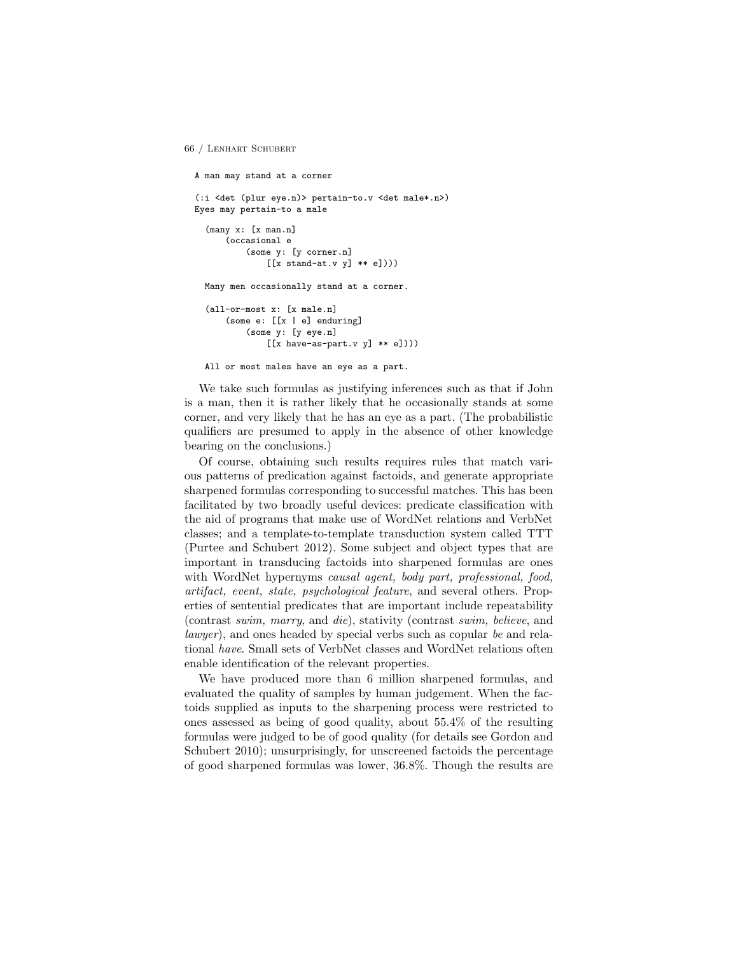```
66 / Lenhart Schubert
```

```
A man may stand at a corner
(:i <det (plur eye.n)> pertain-to.v <det male*.n>)
Eyes may pertain-to a male
  (many x: [x man.n]
      (occasional e
          (some y: [y corner.n]
              [[x stand-at.v y] ** e}]Many men occasionally stand at a corner.
  (all-or-most x: [x male.n]
      (some e: [[x | e] enduring]
          (some y: [y eye.n]
              [[x \text{ have-as-part.v y}] ** e}]All or most males have an eye as a part.
```
We take such formulas as justifying inferences such as that if John is a man, then it is rather likely that he occasionally stands at some corner, and very likely that he has an eye as a part. (The probabilistic qualifiers are presumed to apply in the absence of other knowledge bearing on the conclusions.)

Of course, obtaining such results requires rules that match various patterns of predication against factoids, and generate appropriate sharpened formulas corresponding to successful matches. This has been facilitated by two broadly useful devices: predicate classification with the aid of programs that make use of WordNet relations and VerbNet classes; and a template-to-template transduction system called TTT (Purtee and Schubert 2012). Some subject and object types that are important in transducing factoids into sharpened formulas are ones with WordNet hypernyms *causal agent, body part, professional, food, artifact, event, state, psychological feature*, and several others. Properties of sentential predicates that are important include repeatability (contrast *swim, marry*, and *die*), stativity (contrast *swim, believe*, and *lawyer*), and ones headed by special verbs such as copular *be* and relational *have*. Small sets of VerbNet classes and WordNet relations often enable identification of the relevant properties.

We have produced more than 6 million sharpened formulas, and evaluated the quality of samples by human judgement. When the factoids supplied as inputs to the sharpening process were restricted to ones assessed as being of good quality, about 55.4% of the resulting formulas were judged to be of good quality (for details see Gordon and Schubert 2010); unsurprisingly, for unscreened factoids the percentage of good sharpened formulas was lower, 36.8%. Though the results are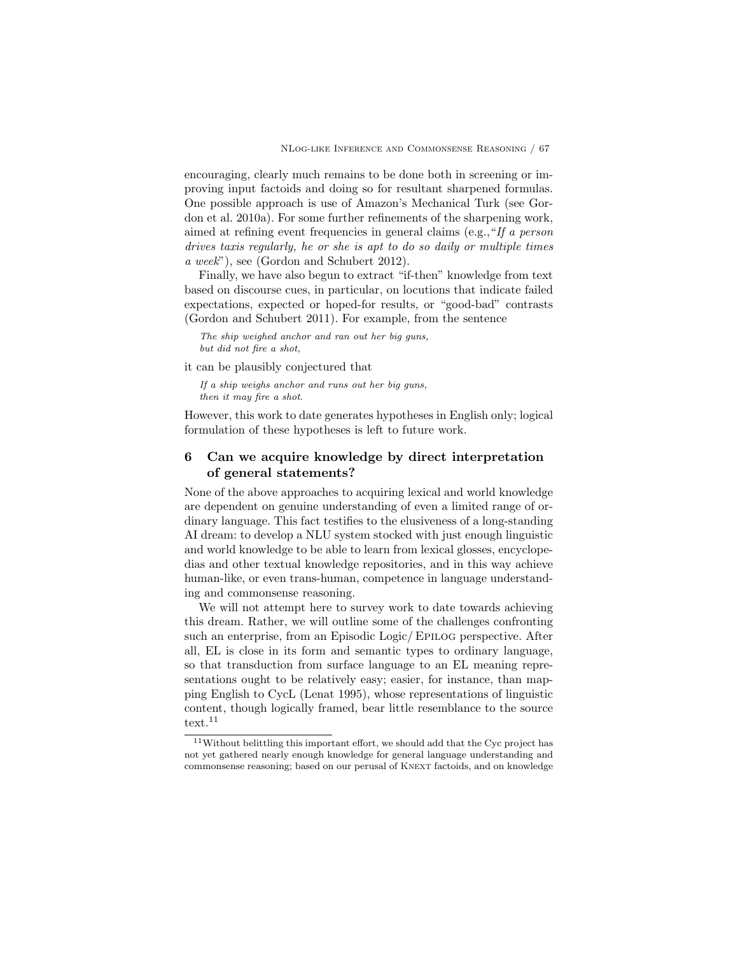encouraging, clearly much remains to be done both in screening or improving input factoids and doing so for resultant sharpened formulas. One possible approach is use of Amazon's Mechanical Turk (see Gordon et al. 2010a). For some further refinements of the sharpening work, aimed at refining event frequencies in general claims (e.g.,"*If a person drives taxis regularly, he or she is apt to do so daily or multiple times a week*"), see (Gordon and Schubert 2012).

Finally, we have also begun to extract "if-then" knowledge from text based on discourse cues, in particular, on locutions that indicate failed expectations, expected or hoped-for results, or "good-bad" contrasts (Gordon and Schubert 2011). For example, from the sentence

*The ship weighed anchor and ran out her big guns, but did not fire a shot*,

it can be plausibly conjectured that

*If a ship weighs anchor and runs out her big guns, then it may fire a shot*.

However, this work to date generates hypotheses in English only; logical formulation of these hypotheses is left to future work.

# 6 Can we acquire knowledge by direct interpretation of general statements?

None of the above approaches to acquiring lexical and world knowledge are dependent on genuine understanding of even a limited range of ordinary language. This fact testifies to the elusiveness of a long-standing AI dream: to develop a NLU system stocked with just enough linguistic and world knowledge to be able to learn from lexical glosses, encyclopedias and other textual knowledge repositories, and in this way achieve human-like, or even trans-human, competence in language understanding and commonsense reasoning.

We will not attempt here to survey work to date towards achieving this dream. Rather, we will outline some of the challenges confronting such an enterprise, from an Episodic Logic/ EPILOG perspective. After all, EL is close in its form and semantic types to ordinary language, so that transduction from surface language to an EL meaning representations ought to be relatively easy; easier, for instance, than mapping English to CycL (Lenat 1995), whose representations of linguistic content, though logically framed, bear little resemblance to the source text.<sup>11</sup>

 $^{11}\rm{Without}$  belittling this important effort, we should add that the Cyc project has not yet gathered nearly enough knowledge for general language understanding and commonsense reasoning; based on our perusal of Knext factoids, and on knowledge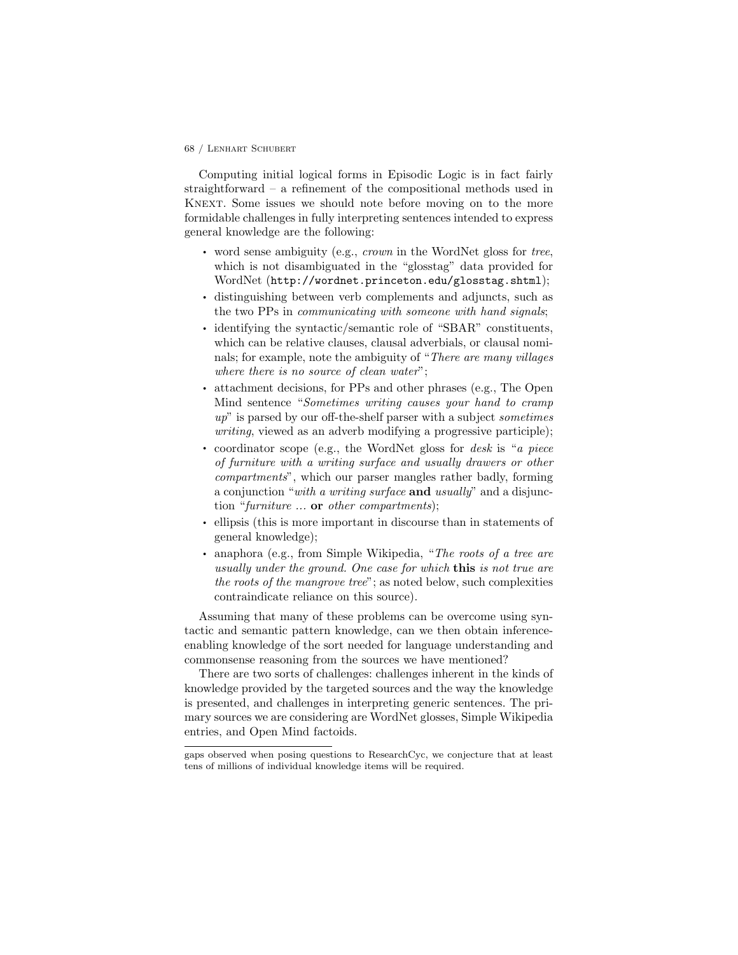Computing initial logical forms in Episodic Logic is in fact fairly straightforward – a refinement of the compositional methods used in Knext. Some issues we should note before moving on to the more formidable challenges in fully interpreting sentences intended to express general knowledge are the following:

- . word sense ambiguity (e.g., *crown* in the WordNet gloss for *tree*, which is not disambiguated in the "glosstag" data provided for WordNet (http://wordnet.princeton.edu/glosstag.shtml);
- . distinguishing between verb complements and adjuncts, such as the two PPs in *communicating with someone with hand signals*;
- . identifying the syntactic/semantic role of "SBAR" constituents, which can be relative clauses, clausal adverbials, or clausal nominals; for example, note the ambiguity of "*There are many villages where there is no source of clean water*";
- . attachment decisions, for PPs and other phrases (e.g., The Open Mind sentence "*Sometimes writing causes your hand to cramp*  $up$ " is parsed by our off-the-shelf parser with a subject *sometimes writing*, viewed as an adverb modifying a progressive participle);
- . coordinator scope (e.g., the WordNet gloss for *desk* is "*a piece of furniture with a writing surface and usually drawers or other compartments*", which our parser mangles rather badly, forming a conjunction "*with a writing surface* and *usually*" and a disjunction "*furniture ...* or *other compartments*);
- . ellipsis (this is more important in discourse than in statements of general knowledge);
- . anaphora (e.g., from Simple Wikipedia, "*The roots of a tree are usually under the ground. One case for which* this *is not true are the roots of the mangrove tree*"; as noted below, such complexities contraindicate reliance on this source).

Assuming that many of these problems can be overcome using syntactic and semantic pattern knowledge, can we then obtain inferenceenabling knowledge of the sort needed for language understanding and commonsense reasoning from the sources we have mentioned?

There are two sorts of challenges: challenges inherent in the kinds of knowledge provided by the targeted sources and the way the knowledge is presented, and challenges in interpreting generic sentences. The primary sources we are considering are WordNet glosses, Simple Wikipedia entries, and Open Mind factoids.

gaps observed when posing questions to ResearchCyc, we conjecture that at least tens of millions of individual knowledge items will be required.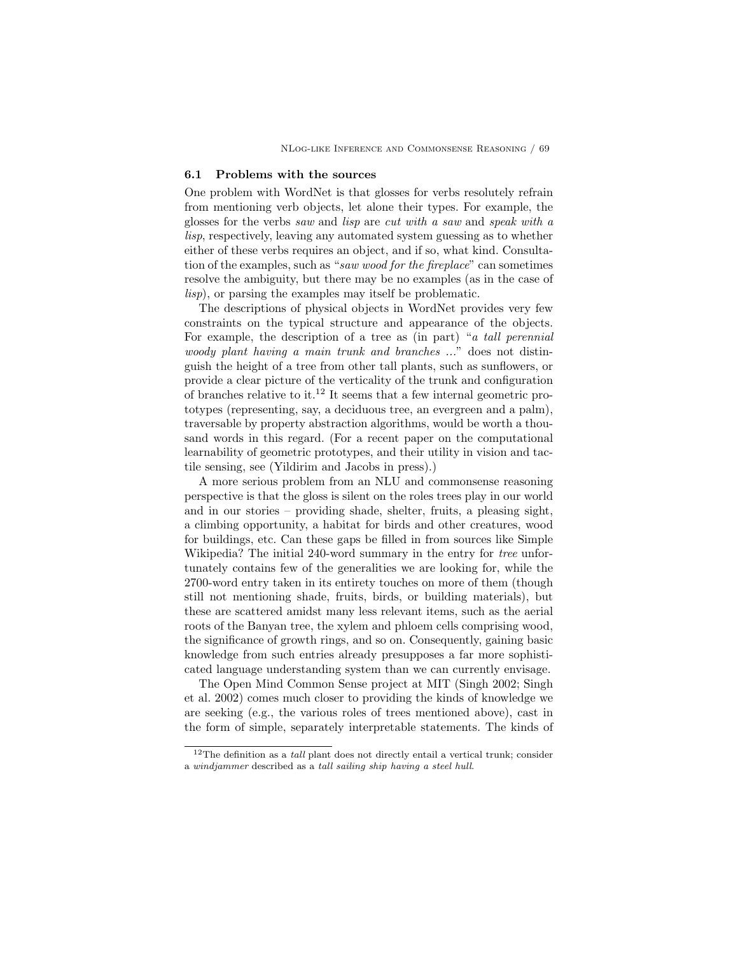### 6.1 Problems with the sources

One problem with WordNet is that glosses for verbs resolutely refrain from mentioning verb objects, let alone their types. For example, the glosses for the verbs *saw* and *lisp* are *cut with a saw* and *speak with a lisp*, respectively, leaving any automated system guessing as to whether either of these verbs requires an object, and if so, what kind. Consultation of the examples, such as "*saw wood for the fireplace*" can sometimes resolve the ambiguity, but there may be no examples (as in the case of *lisp*), or parsing the examples may itself be problematic.

The descriptions of physical objects in WordNet provides very few constraints on the typical structure and appearance of the objects. For example, the description of a tree as (in part) "*a tall perennial woody plant having a main trunk and branches ...*" does not distinguish the height of a tree from other tall plants, such as sunflowers, or provide a clear picture of the verticality of the trunk and configuration of branches relative to it.<sup>12</sup> It seems that a few internal geometric prototypes (representing, say, a deciduous tree, an evergreen and a palm), traversable by property abstraction algorithms, would be worth a thousand words in this regard. (For a recent paper on the computational learnability of geometric prototypes, and their utility in vision and tactile sensing, see (Yildirim and Jacobs in press).)

A more serious problem from an NLU and commonsense reasoning perspective is that the gloss is silent on the roles trees play in our world and in our stories – providing shade, shelter, fruits, a pleasing sight, a climbing opportunity, a habitat for birds and other creatures, wood for buildings, etc. Can these gaps be filled in from sources like Simple Wikipedia? The initial 240-word summary in the entry for *tree* unfortunately contains few of the generalities we are looking for, while the 2700-word entry taken in its entirety touches on more of them (though still not mentioning shade, fruits, birds, or building materials), but these are scattered amidst many less relevant items, such as the aerial roots of the Banyan tree, the xylem and phloem cells comprising wood, the significance of growth rings, and so on. Consequently, gaining basic knowledge from such entries already presupposes a far more sophisticated language understanding system than we can currently envisage.

The Open Mind Common Sense project at MIT (Singh 2002; Singh et al. 2002) comes much closer to providing the kinds of knowledge we are seeking (e.g., the various roles of trees mentioned above), cast in the form of simple, separately interpretable statements. The kinds of

<sup>&</sup>lt;sup>12</sup>The definition as a *tall* plant does not directly entail a vertical trunk; consider a *windjammer* described as a *tall sailing ship having a steel hull*.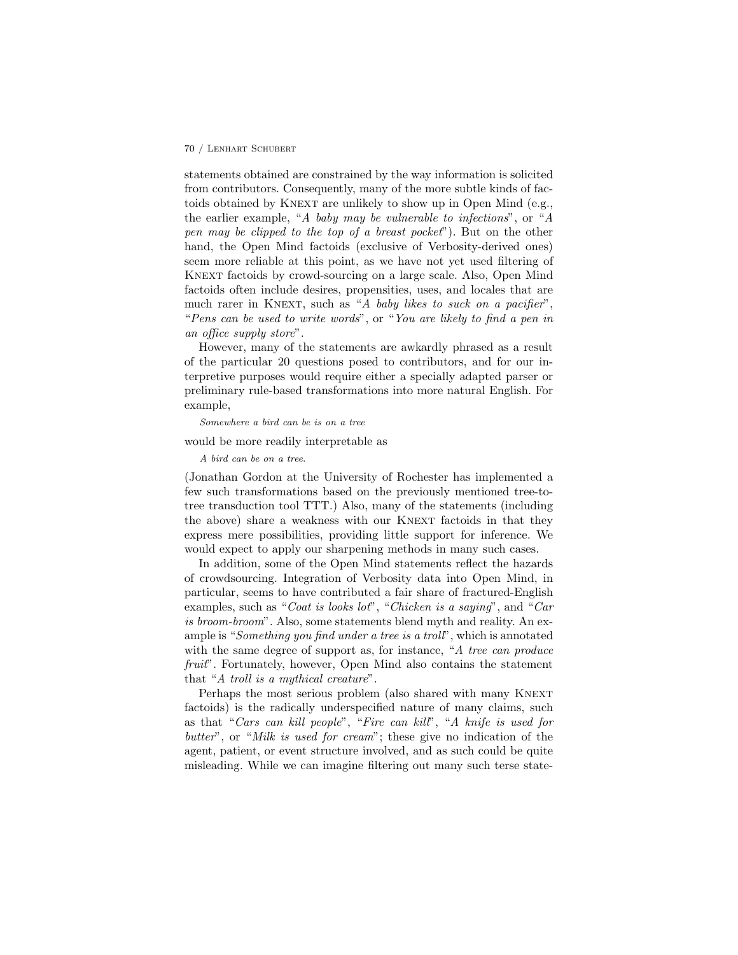statements obtained are constrained by the way information is solicited from contributors. Consequently, many of the more subtle kinds of factoids obtained by KNEXT are unlikely to show up in Open Mind (e.g., the earlier example, "*A baby may be vulnerable to infections*", or "*A pen may be clipped to the top of a breast pocket*"). But on the other hand, the Open Mind factoids (exclusive of Verbosity-derived ones) seem more reliable at this point, as we have not yet used filtering of Knext factoids by crowd-sourcing on a large scale. Also, Open Mind factoids often include desires, propensities, uses, and locales that are much rarer in KNEXT, such as "*A baby likes to suck on a pacifier*", "*Pens can be used to write words*", or "*You are likely to find a pen in an office supply store*".

However, many of the statements are awkardly phrased as a result of the particular 20 questions posed to contributors, and for our interpretive purposes would require either a specially adapted parser or preliminary rule-based transformations into more natural English. For example,

*Somewhere a bird can be is on a tree*

would be more readily interpretable as

*A bird can be on a tree*.

(Jonathan Gordon at the University of Rochester has implemented a few such transformations based on the previously mentioned tree-totree transduction tool TTT.) Also, many of the statements (including the above) share a weakness with our KNEXT factoids in that they express mere possibilities, providing little support for inference. We would expect to apply our sharpening methods in many such cases.

In addition, some of the Open Mind statements reflect the hazards of crowdsourcing. Integration of Verbosity data into Open Mind, in particular, seems to have contributed a fair share of fractured-English examples, such as "*Coat is looks lot*", "*Chicken is a saying*", and "*Car is broom-broom*". Also, some statements blend myth and reality. An example is "*Something you find under a tree is a troll*", which is annotated with the same degree of support as, for instance, "*A tree can produce fruit*". Fortunately, however, Open Mind also contains the statement that "*A troll is a mythical creature*".

Perhaps the most serious problem (also shared with many KNEXT) factoids) is the radically underspecified nature of many claims, such as that "*Cars can kill people*", "*Fire can kill*", "*A knife is used for butter*", or "*Milk is used for cream*"; these give no indication of the agent, patient, or event structure involved, and as such could be quite misleading. While we can imagine filtering out many such terse state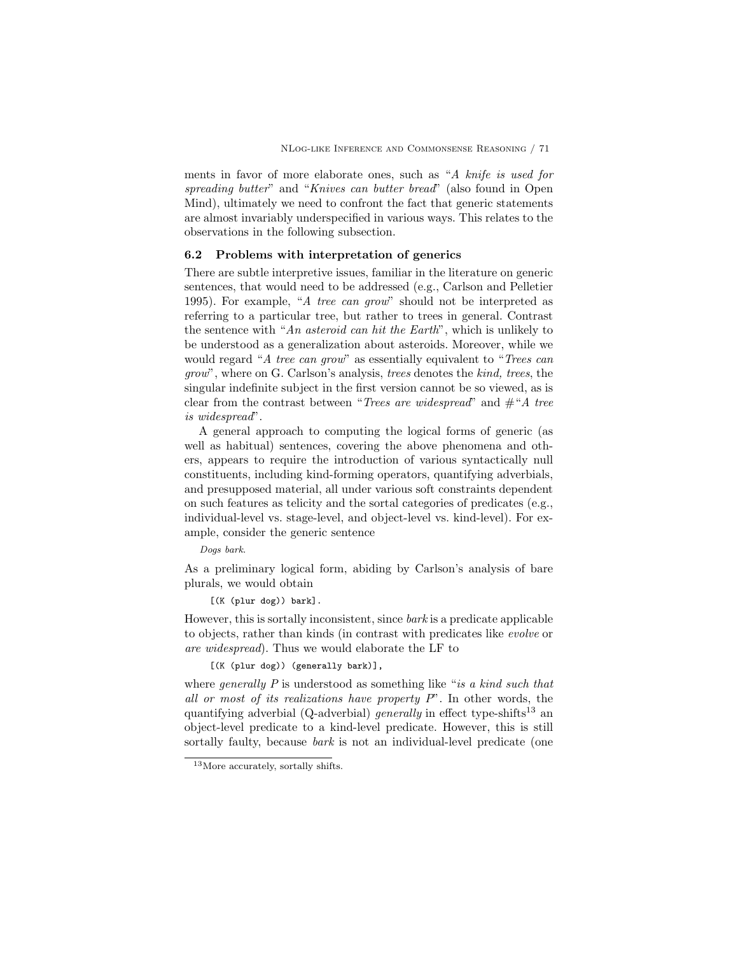ments in favor of more elaborate ones, such as "*A knife is used for spreading butter*" and "*Knives can butter bread*" (also found in Open Mind), ultimately we need to confront the fact that generic statements are almost invariably underspecified in various ways. This relates to the observations in the following subsection.

# 6.2 Problems with interpretation of generics

There are subtle interpretive issues, familiar in the literature on generic sentences, that would need to be addressed (e.g., Carlson and Pelletier 1995). For example, "*A tree can grow*" should not be interpreted as referring to a particular tree, but rather to trees in general. Contrast the sentence with "*An asteroid can hit the Earth*", which is unlikely to be understood as a generalization about asteroids. Moreover, while we would regard "*A tree can grow*" as essentially equivalent to "*Trees can grow*", where on G. Carlson's analysis, *trees* denotes the *kind, trees*, the singular indefinite subject in the first version cannot be so viewed, as is clear from the contrast between "*Trees are widespread*" and #"*A tree is widespread*".

A general approach to computing the logical forms of generic (as well as habitual) sentences, covering the above phenomena and others, appears to require the introduction of various syntactically null constituents, including kind-forming operators, quantifying adverbials, and presupposed material, all under various soft constraints dependent on such features as telicity and the sortal categories of predicates (e.g., individual-level vs. stage-level, and object-level vs. kind-level). For example, consider the generic sentence

*Dogs bark*.

As a preliminary logical form, abiding by Carlson's analysis of bare plurals, we would obtain

[(K (plur dog)) bark].

However, this is sortally inconsistent, since *bark* is a predicate applicable to objects, rather than kinds (in contrast with predicates like *evolve* or *are widespread*). Thus we would elaborate the LF to

[(K (plur dog)) (generally bark)],

where *generally P* is understood as something like "*is a kind such that all or most of its realizations have property P*". In other words, the quantifying adverbial  $(Q$ -adverbial) *generally* in effect type-shifts<sup>13</sup> an object-level predicate to a kind-level predicate. However, this is still sortally faulty, because *bark* is not an individual-level predicate (one

<sup>13</sup>More accurately, sortally shifts.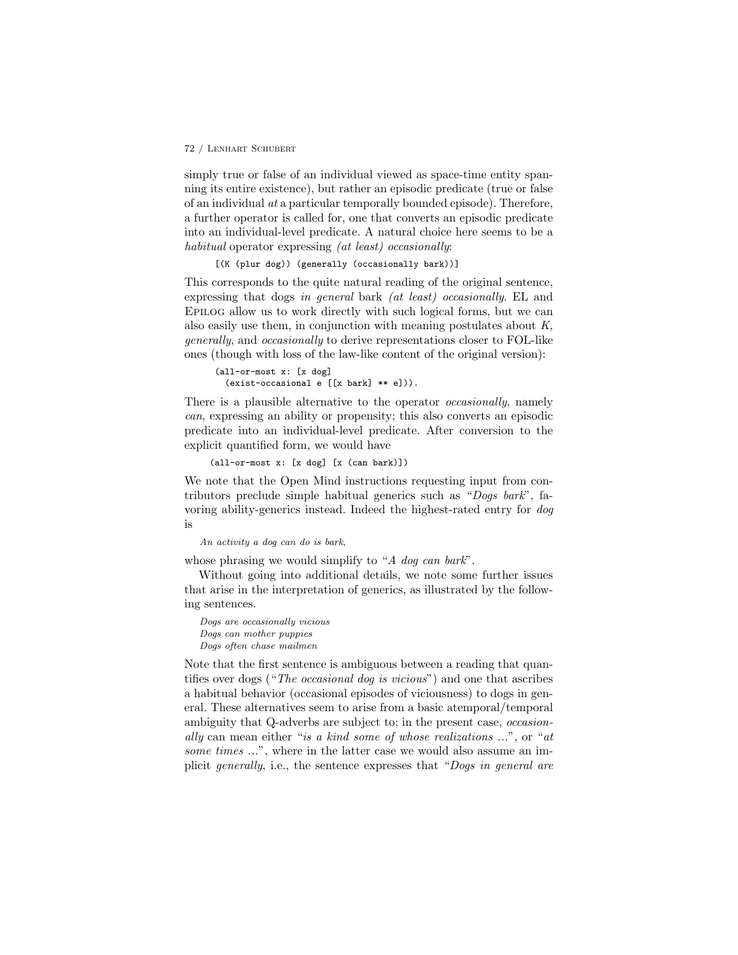simply true or false of an individual viewed as space-time entity spanning its entire existence), but rather an episodic predicate (true or false of an individual *at* a particular temporally bounded episode). Therefore, a further operator is called for, one that converts an episodic predicate into an individual-level predicate. A natural choice here seems to be a *habitual* operator expressing *(at least) occasionally*:

[(K (plur dog)) (generally (occasionally bark))]

This corresponds to the quite natural reading of the original sentence, expressing that dogs *in general* bark *(at least) occasionally*. EL and Epilog allow us to work directly with such logical forms, but we can also easily use them, in conjunction with meaning postulates about *K, generally*, and *occasionally* to derive representations closer to FOL-like ones (though with loss of the law-like content of the original version):

```
(all-or-most x: [x dog]
  (exist-occasional e<sup>[[x bark] ** e])).</sup>
```
There is a plausible alternative to the operator *occasionally*, namely *can*, expressing an ability or propensity; this also converts an episodic predicate into an individual-level predicate. After conversion to the explicit quantified form, we would have

(all-or-most x: [x dog] [x (can bark)])

We note that the Open Mind instructions requesting input from contributors preclude simple habitual generics such as "*Dogs bark*", favoring ability-generics instead. Indeed the highest-rated entry for *dog* is

*An activity a dog can do is bark*,

whose phrasing we would simplify to "*A dog can bark*".

Without going into additional details, we note some further issues that arise in the interpretation of generics, as illustrated by the following sentences.

*Dogs are occasionally vicious Dogs can mother puppies Dogs often chase mailmen*

Note that the first sentence is ambiguous between a reading that quantifies over dogs ("*The occasional dog is vicious*") and one that ascribes a habitual behavior (occasional episodes of viciousness) to dogs in general. These alternatives seem to arise from a basic atemporal/temporal ambiguity that Q-adverbs are subject to; in the present case, *occasionally* can mean either "*is a kind some of whose realizations ...*", or "*at some times ...*", where in the latter case we would also assume an implicit *generally*, i.e., the sentence expresses that "*Dogs in general are*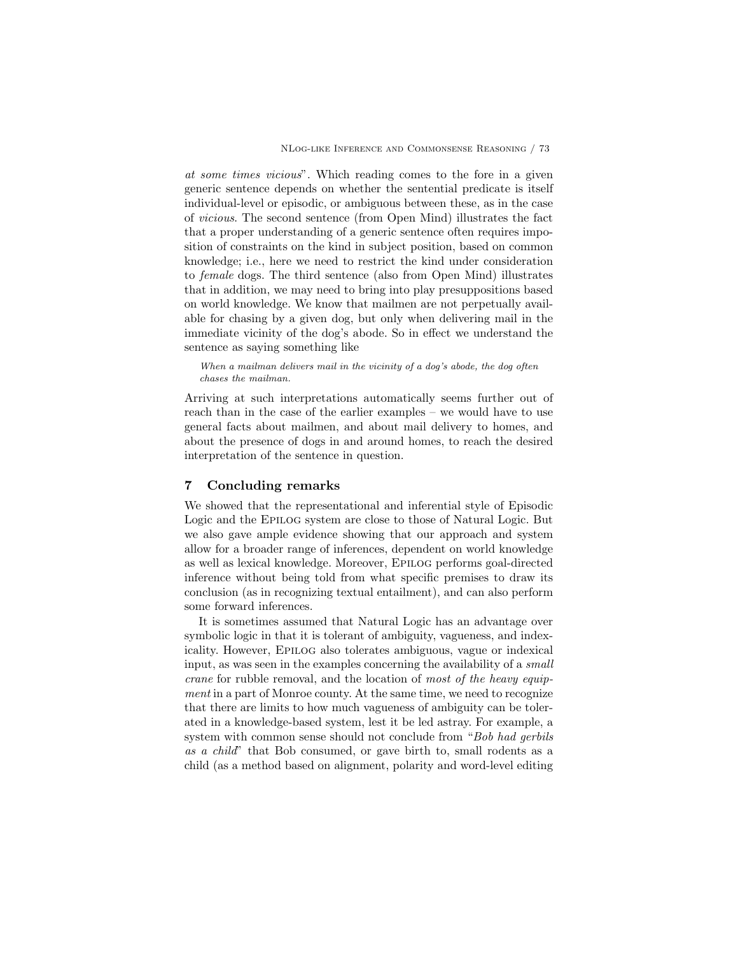*at some times vicious*". Which reading comes to the fore in a given generic sentence depends on whether the sentential predicate is itself individual-level or episodic, or ambiguous between these, as in the case of *vicious*. The second sentence (from Open Mind) illustrates the fact that a proper understanding of a generic sentence often requires imposition of constraints on the kind in subject position, based on common knowledge; i.e., here we need to restrict the kind under consideration to *female* dogs. The third sentence (also from Open Mind) illustrates that in addition, we may need to bring into play presuppositions based on world knowledge. We know that mailmen are not perpetually available for chasing by a given dog, but only when delivering mail in the immediate vicinity of the dog's abode. So in effect we understand the sentence as saying something like

*When a mailman delivers mail in the vicinity of a dog's abode, the dog often chases the mailman.*

Arriving at such interpretations automatically seems further out of reach than in the case of the earlier examples – we would have to use general facts about mailmen, and about mail delivery to homes, and about the presence of dogs in and around homes, to reach the desired interpretation of the sentence in question.

# 7 Concluding remarks

We showed that the representational and inferential style of Episodic Logic and the Epilog system are close to those of Natural Logic. But we also gave ample evidence showing that our approach and system allow for a broader range of inferences, dependent on world knowledge as well as lexical knowledge. Moreover, Epilog performs goal-directed inference without being told from what specific premises to draw its conclusion (as in recognizing textual entailment), and can also perform some forward inferences.

It is sometimes assumed that Natural Logic has an advantage over symbolic logic in that it is tolerant of ambiguity, vagueness, and indexicality. However, Epilog also tolerates ambiguous, vague or indexical input, as was seen in the examples concerning the availability of a *small crane* for rubble removal, and the location of *most of the heavy equipment* in a part of Monroe county. At the same time, we need to recognize that there are limits to how much vagueness of ambiguity can be tolerated in a knowledge-based system, lest it be led astray. For example, a system with common sense should not conclude from "*Bob had gerbils as a child*" that Bob consumed, or gave birth to, small rodents as a child (as a method based on alignment, polarity and word-level editing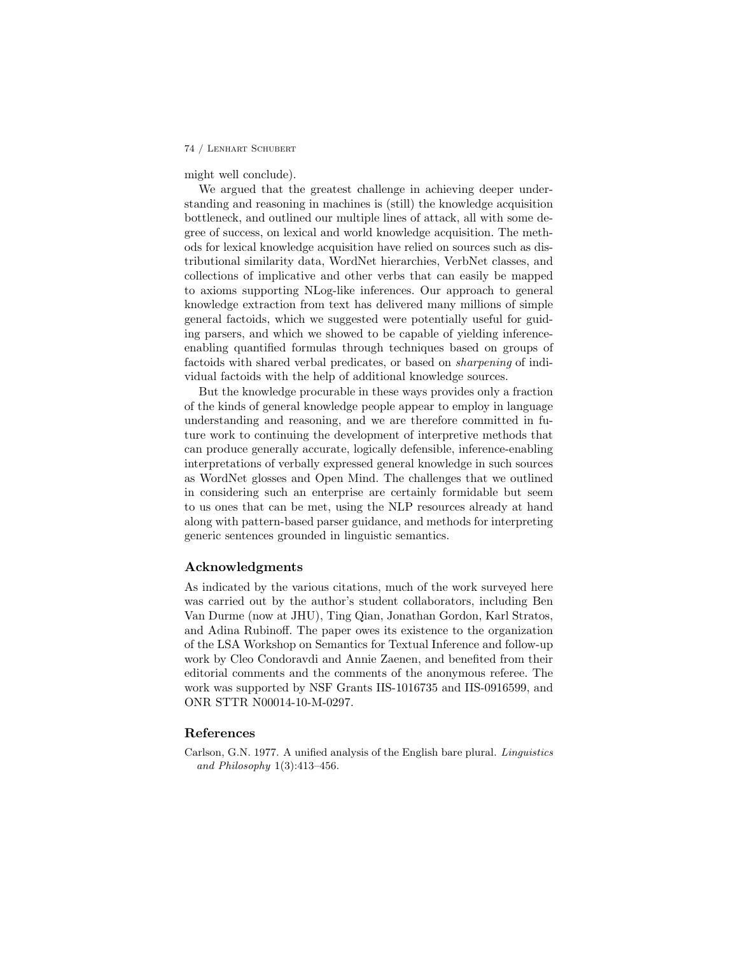might well conclude).

We argued that the greatest challenge in achieving deeper understanding and reasoning in machines is (still) the knowledge acquisition bottleneck, and outlined our multiple lines of attack, all with some degree of success, on lexical and world knowledge acquisition. The methods for lexical knowledge acquisition have relied on sources such as distributional similarity data, WordNet hierarchies, VerbNet classes, and collections of implicative and other verbs that can easily be mapped to axioms supporting NLog-like inferences. Our approach to general knowledge extraction from text has delivered many millions of simple general factoids, which we suggested were potentially useful for guiding parsers, and which we showed to be capable of yielding inferenceenabling quantified formulas through techniques based on groups of factoids with shared verbal predicates, or based on *sharpening* of individual factoids with the help of additional knowledge sources.

But the knowledge procurable in these ways provides only a fraction of the kinds of general knowledge people appear to employ in language understanding and reasoning, and we are therefore committed in future work to continuing the development of interpretive methods that can produce generally accurate, logically defensible, inference-enabling interpretations of verbally expressed general knowledge in such sources as WordNet glosses and Open Mind. The challenges that we outlined in considering such an enterprise are certainly formidable but seem to us ones that can be met, using the NLP resources already at hand along with pattern-based parser guidance, and methods for interpreting generic sentences grounded in linguistic semantics.

# Acknowledgments

As indicated by the various citations, much of the work surveyed here was carried out by the author's student collaborators, including Ben Van Durme (now at JHU), Ting Qian, Jonathan Gordon, Karl Stratos, and Adina Rubinoff. The paper owes its existence to the organization of the LSA Workshop on Semantics for Textual Inference and follow-up work by Cleo Condoravdi and Annie Zaenen, and benefited from their editorial comments and the comments of the anonymous referee. The work was supported by NSF Grants IIS-1016735 and IIS-0916599, and ONR STTR N00014-10-M-0297.

# References

Carlson, G.N. 1977. A unified analysis of the English bare plural. *Linguistics and Philosophy* 1(3):413–456.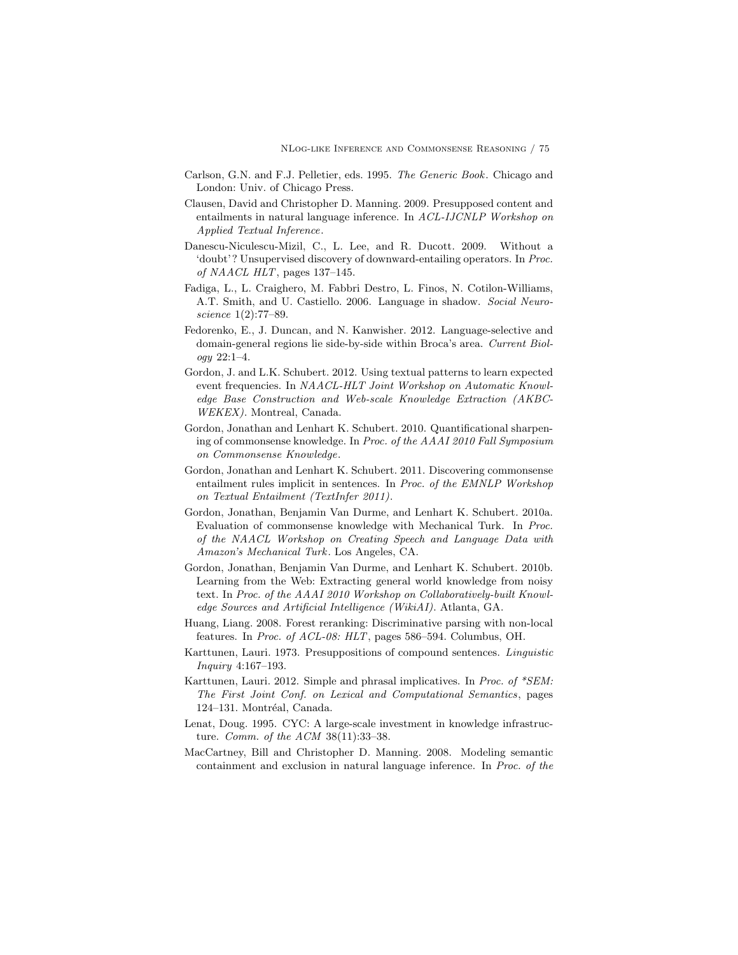- Carlson, G.N. and F.J. Pelletier, eds. 1995. *The Generic Book*. Chicago and London: Univ. of Chicago Press.
- Clausen, David and Christopher D. Manning. 2009. Presupposed content and entailments in natural language inference. In *ACL-IJCNLP Workshop on Applied Textual Inference*.
- Danescu-Niculescu-Mizil, C., L. Lee, and R. Ducott. 2009. Without a 'doubt'? Unsupervised discovery of downward-entailing operators. In *Proc. of NAACL HLT*, pages 137–145.
- Fadiga, L., L. Craighero, M. Fabbri Destro, L. Finos, N. Cotilon-Williams, A.T. Smith, and U. Castiello. 2006. Language in shadow. *Social Neuroscience* 1(2):77–89.
- Fedorenko, E., J. Duncan, and N. Kanwisher. 2012. Language-selective and domain-general regions lie side-by-side within Broca's area. *Current Biology* 22:1–4.
- Gordon, J. and L.K. Schubert. 2012. Using textual patterns to learn expected event frequencies. In *NAACL-HLT Joint Workshop on Automatic Knowledge Base Construction and Web-scale Knowledge Extraction (AKBC-WEKEX)*. Montreal, Canada.
- Gordon, Jonathan and Lenhart K. Schubert. 2010. Quantificational sharpening of commonsense knowledge. In *Proc. of the AAAI 2010 Fall Symposium on Commonsense Knowledge*.
- Gordon, Jonathan and Lenhart K. Schubert. 2011. Discovering commonsense entailment rules implicit in sentences. In *Proc. of the EMNLP Workshop on Textual Entailment (TextInfer 2011)*.
- Gordon, Jonathan, Benjamin Van Durme, and Lenhart K. Schubert. 2010a. Evaluation of commonsense knowledge with Mechanical Turk. In *Proc. of the NAACL Workshop on Creating Speech and Language Data with Amazon's Mechanical Turk*. Los Angeles, CA.
- Gordon, Jonathan, Benjamin Van Durme, and Lenhart K. Schubert. 2010b. Learning from the Web: Extracting general world knowledge from noisy text. In *Proc. of the AAAI 2010 Workshop on Collaboratively-built Knowledge Sources and Artificial Intelligence (WikiAI)*. Atlanta, GA.
- Huang, Liang. 2008. Forest reranking: Discriminative parsing with non-local features. In *Proc. of ACL-08: HLT*, pages 586–594. Columbus, OH.
- Karttunen, Lauri. 1973. Presuppositions of compound sentences. *Linguistic Inquiry* 4:167–193.
- Karttunen, Lauri. 2012. Simple and phrasal implicatives. In *Proc. of \*SEM: The First Joint Conf. on Lexical and Computational Semantics*, pages 124–131. Montréal, Canada.
- Lenat, Doug. 1995. CYC: A large-scale investment in knowledge infrastructure. *Comm. of the ACM* 38(11):33–38.
- MacCartney, Bill and Christopher D. Manning. 2008. Modeling semantic containment and exclusion in natural language inference. In *Proc. of the*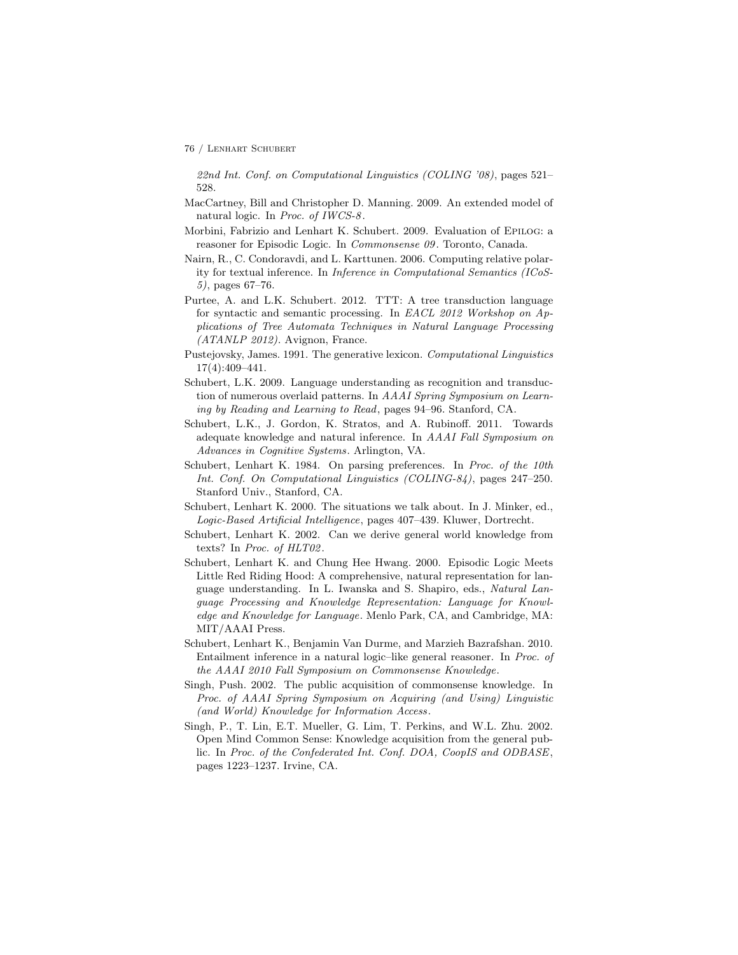*22nd Int. Conf. on Computational Linguistics (COLING '08)*, pages 521– 528.

- MacCartney, Bill and Christopher D. Manning. 2009. An extended model of natural logic. In *Proc. of IWCS-8* .
- Morbini, Fabrizio and Lenhart K. Schubert. 2009. Evaluation of Epilog: a reasoner for Episodic Logic. In *Commonsense 09* . Toronto, Canada.
- Nairn, R., C. Condoravdi, and L. Karttunen. 2006. Computing relative polarity for textual inference. In *Inference in Computational Semantics (ICoS-5)*, pages 67–76.
- Purtee, A. and L.K. Schubert. 2012. TTT: A tree transduction language for syntactic and semantic processing. In *EACL 2012 Workshop on Applications of Tree Automata Techniques in Natural Language Processing (ATANLP 2012)*. Avignon, France.
- Pustejovsky, James. 1991. The generative lexicon. *Computational Linguistics* 17(4):409–441.
- Schubert, L.K. 2009. Language understanding as recognition and transduction of numerous overlaid patterns. In *AAAI Spring Symposium on Learning by Reading and Learning to Read*, pages 94–96. Stanford, CA.
- Schubert, L.K., J. Gordon, K. Stratos, and A. Rubinoff. 2011. Towards adequate knowledge and natural inference. In *AAAI Fall Symposium on Advances in Cognitive Systems*. Arlington, VA.
- Schubert, Lenhart K. 1984. On parsing preferences. In *Proc. of the 10th Int. Conf. On Computational Linguistics (COLING-84)*, pages 247–250. Stanford Univ., Stanford, CA.
- Schubert, Lenhart K. 2000. The situations we talk about. In J. Minker, ed., *Logic-Based Artificial Intelligence*, pages 407–439. Kluwer, Dortrecht.
- Schubert, Lenhart K. 2002. Can we derive general world knowledge from texts? In *Proc. of HLT02* .
- Schubert, Lenhart K. and Chung Hee Hwang. 2000. Episodic Logic Meets Little Red Riding Hood: A comprehensive, natural representation for language understanding. In L. Iwanska and S. Shapiro, eds., *Natural Language Processing and Knowledge Representation: Language for Knowledge and Knowledge for Language*. Menlo Park, CA, and Cambridge, MA: MIT/AAAI Press.
- Schubert, Lenhart K., Benjamin Van Durme, and Marzieh Bazrafshan. 2010. Entailment inference in a natural logic–like general reasoner. In *Proc. of the AAAI 2010 Fall Symposium on Commonsense Knowledge*.
- Singh, Push. 2002. The public acquisition of commonsense knowledge. In *Proc. of AAAI Spring Symposium on Acquiring (and Using) Linguistic (and World) Knowledge for Information Access*.
- Singh, P., T. Lin, E.T. Mueller, G. Lim, T. Perkins, and W.L. Zhu. 2002. Open Mind Common Sense: Knowledge acquisition from the general public. In *Proc. of the Confederated Int. Conf. DOA, CoopIS and ODBASE*, pages 1223–1237. Irvine, CA.